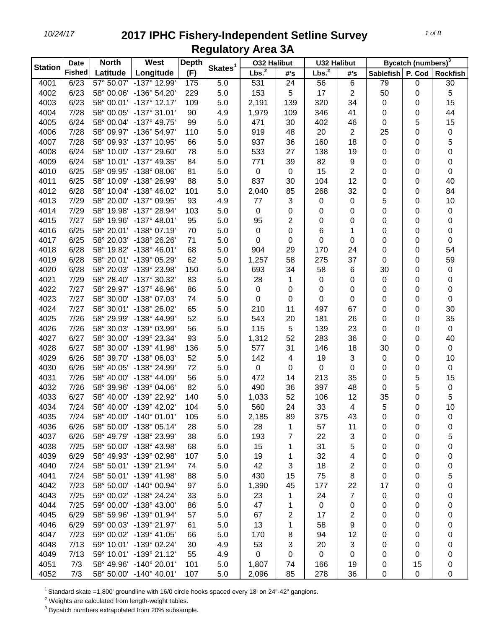|                | <b>Date</b>   | <b>North</b> | West                    | <b>Depth</b> |                     | <b>032 Halibut</b> |     | <b>U32 Halibut</b> |                |                  | Bycatch (numbers) <sup>3</sup> |                 |
|----------------|---------------|--------------|-------------------------|--------------|---------------------|--------------------|-----|--------------------|----------------|------------------|--------------------------------|-----------------|
| <b>Station</b> | <b>Fished</b> | Latitude     | Longitude               | (F)          | Skates <sup>1</sup> | Lbs. <sup>2</sup>  | #'s | Lbs. <sup>2</sup>  | #'s            | <b>Sablefish</b> | P. Cod                         | <b>Rockfish</b> |
| 4001           | 6/23          |              | 57° 50.07' -137° 12.99' | 175          | 5.0                 | 531                | 24  | 56                 | 6              | 79               | 0                              | 30              |
| 4002           | 6/23          |              | 58° 00.06' -136° 54.20' | 229          | 5.0                 | 153                | 5   | 17                 | 2              | 50               | 0                              | 5               |
| 4003           | 6/23          |              | 58° 00.01' -137° 12.17' | 109          | 5.0                 | 2,191              | 139 | 320                | 34             | 0                | 0                              | 15              |
| 4004           | 7/28          |              | 58° 00.05' -137° 31.01' | 90           | 4.9                 | 1,979              | 109 | 346                | 41             | 0                | 0                              | 44              |
| 4005           | 6/24          |              | 58° 00.04' -137° 49.75' | 99           | 5.0                 | 471                | 30  | 402                | 46             | 0                | 5                              | 15              |
| 4006           | 7/28          |              | 58° 09.97' -136° 54.97' | 110          | 5.0                 | 919                | 48  | 20                 | $\overline{2}$ | 25               | 0                              | 0               |
| 4007           | 7/28          | 58° 09.93'   | -137° 10.95'            | 66           | 5.0                 | 937                | 36  | 160                | 18             | 0                | 0                              | 5               |
| 4008           | 6/24          |              | 58° 10.00' -137° 29.60' | 78           | 5.0                 | 533                | 27  | 138                | 19             | 0                | 0                              | 0               |
| 4009           | 6/24          |              | 58° 10.01' -137° 49.35' | 84           | 5.0                 | 771                | 39  | 82                 | 9              | 0                | 0                              | 0               |
| 4010           | 6/25          |              | 58° 09.95' -138° 08.06' | 81           | 5.0                 | $\mathbf 0$        | 0   | 15                 | $\overline{2}$ | 0                | 0                              | 0               |
| 4011           | 6/25          |              | 58° 10.09' -138° 26.99' | 88           | 5.0                 | 837                | 30  | 104                | 12             | 0                | 0                              | 40              |
| 4012           | 6/28          |              | 58° 10.04' -138° 46.02' | 101          | 5.0                 | 2,040              | 85  | 268                | 32             | 0                | 0                              | 84              |
| 4013           | 7/29          |              | 58° 20.00' -137° 09.95' | 93           | 4.9                 | 77                 | 3   | $\pmb{0}$          | 0              | 5                | 0                              | 10              |
| 4014           | 7/29          |              | 58° 19.98' -137° 28.94' | 103          | 5.0                 | 0                  | 0   | 0                  | 0              | 0                | 0                              | 0               |
| 4015           | 7/27          |              | 58° 19.96' -137° 48.01' | 95           | 5.0                 | 95                 | 2   | 0                  | 0              | 0                | 0                              | 0               |
| 4016           | 6/25          |              | 58° 20.01' -138° 07.19' | 70           | 5.0                 | 0                  | 0   | 6                  | 1              | 0                | 0                              | 0               |
| 4017           | 6/25          |              | 58° 20.03' -138° 26.26' | 71           | 5.0                 | 0                  | 0   | 0                  | 0              | 0                | 0                              | 0               |
| 4018           | 6/28          |              | 58° 19.82' -138° 46.01' | 68           | 5.0                 | 904                | 29  | 170                | 24             | 0                | 0                              | 54              |
| 4019           | 6/28          |              | 58° 20.01' -139° 05.29' | 62           | 5.0                 | 1,257              | 58  | 275                | 37             | 0                | 0                              | 59              |
| 4020           | 6/28          |              | 58° 20.03' -139° 23.98' | 150          | 5.0                 | 693                | 34  | 58                 | 6              | 30               | 0                              | 0               |
| 4021           | 7/29          |              | 58° 28.40' -137° 30.32' | 83           | 5.0                 | 28                 | 1   | $\mathbf 0$        | $\pmb{0}$      | 0                | 0                              | 0               |
| 4022           | 7/27          |              | 58° 29.97' -137° 46.96' | 86           | 5.0                 | $\mathbf 0$        | 0   | 0                  | $\mathbf 0$    | 0                | 0                              | 0               |
| 4023           | 7/27          |              | 58° 30.00' -138° 07.03' | 74           | 5.0                 | 0                  | 0   | 0                  | $\mathbf 0$    | 0                | 0                              | $\pmb{0}$       |
| 4024           | 7/27          |              | 58° 30.01' -138° 26.02' | 65           | 5.0                 | 210                | 11  | 497                | 67             | 0                | 0                              | 30              |
| 4025           | 7/26          |              | 58° 29.99' -138° 44.99' | 52           | 5.0                 | 543                | 20  | 181                | 26             | 0                | 0                              | 35              |
| 4026           | 7/26          |              | 58° 30.03' -139° 03.99' | 56           | 5.0                 | 115                | 5   | 139                | 23             | 0                | 0                              | $\pmb{0}$       |
| 4027           | 6/27          |              | 58° 30.00' -139° 23.34' | 93           | 5.0                 | 1,312              | 52  | 283                | 36             | 0                | 0                              | 40              |
| 4028           | 6/27          |              | 58° 30.00' -139° 41.98' | 136          | 5.0                 | 577                | 31  | 146                | 18             | 30               | 0                              | $\mathbf 0$     |
| 4029           | 6/26          |              | 58° 39.70' -138° 06.03' | 52           | 5.0                 | 142                | 4   | 19                 | 3              | 0                | 0                              | 10              |
| 4030           | 6/26          |              | 58° 40.05' -138° 24.99' | 72           | 5.0                 | 0                  | 0   | $\mathbf 0$        | $\mathbf 0$    | 0                | 0                              | $\pmb{0}$       |
| 4031           | 7/26          |              | 58° 40.00' -138° 44.09' | 56           | 5.0                 | 472                | 14  | 213                | 35             | 0                | 5                              | 15              |
| 4032           | 7/26          |              | 58° 39.96' -139° 04.06' | 82           | 5.0                 | 490                | 36  | 397                | 48             | 0                | 5                              | $\pmb{0}$       |
| 4033           | 6/27          |              | 58° 40.00' -139° 22.92' | 140          | 5.0                 | 1,033              | 52  | 106                | 12             | 35               | 0                              | 5               |
| 4034           | 7/24          |              | 58° 40.00' -139° 42.02' | 104          | 5.0                 | 560                | 24  | 33                 | 4              | 5                | 0                              | 10              |
| 4035           | 7/24          |              | 58° 40.00' -140° 01.01' | 105          | 5.0                 | 2,185              | 89  | 375                | 43             | 0                | 0                              | 0               |
| 4036           | 6/26          |              | 58° 50.00' -138° 05.14' | 28           | 5.0                 | 28                 | 1   | 57                 | 11             | 0                | 0                              | 0               |
| 4037           | 6/26          |              | 58° 49.79' -138° 23.99' | 38           | 5.0                 | 193                | 7   | 22                 | 3              | 0                | 0                              | 5               |
| 4038           | 7/25          |              | 58° 50.00' -138° 43.98' | 68           | 5.0                 | 15                 | 1   | 31                 | 5              | 0                | 0                              | 0               |
| 4039           | 6/29          |              | 58° 49.93' -139° 02.98' | 107          | 5.0                 | 19                 | 1   | 32                 | 4              | 0                | 0                              | 0               |
| 4040           | 7/24          |              | 58° 50.01' -139° 21.94' | 74           | 5.0                 | 42                 | 3   | 18                 | 2              | 0                | 0                              | 0               |
| 4041           | 7/24          |              | 58° 50.01' -139° 41.98' | 88           | 5.0                 | 430                | 15  | 75                 | 8              | 0                | 0                              | 5               |
| 4042           | 7/23          |              | 58° 50.00' -140° 00.94' | 97           | 5.0                 | 1,390              | 45  | 177                | 22             | 17               | 0                              | 0               |
| 4043           | 7/25          |              | 59° 00.02' -138° 24.24' | 33           | 5.0                 | 23                 | 1   | 24                 | 7              | 0                | 0                              | 0               |
| 4044           | 7/25          |              | 59° 00.00' -138° 43.00' | 86           | 5.0                 | 47                 | 1   | 0                  | 0              | 0                | 0                              | 0               |
| 4045           | 6/29          |              | 58° 59.96' -139° 01.94' | 57           | 5.0                 | 67                 | 2   | 17                 | 2              | 0                | 0                              | 0               |
| 4046           | 6/29          |              | 59° 00.03' -139° 21.97' | 61           | 5.0                 | 13                 | 1   | 58                 | 9              | 0                | 0                              | 0               |
| 4047           | 7/23          |              | 59° 00.02' -139° 41.05' | 66           | 5.0                 | 170                | 8   | 94                 | 12             | 0                | 0                              | 0               |
| 4048           | 7/13          |              | 59° 10.01' -139° 02.24' | 30           | 4.9                 | 53                 | 3   | 20                 | 3              | 0                | 0                              | 0               |
| 4049           | 7/13          |              | 59° 10.01' -139° 21.12' | 55           | 4.9                 | 0                  | 0   | 0                  | 0              | 0                | 0                              | 0               |
| 4051           | 7/3           |              | 58° 49.96' -140° 20.01' | 101          | 5.0                 | 1,807              | 74  | 166                | 19             | 0                | 15                             | 0               |
| 4052           | 7/3           |              | 58° 50.00' -140° 40.01' | 107          | 5.0                 | 2,096              | 85  | 278                | 36             | 0                | 0                              | 0               |

<sup>1</sup> Standard skate =1,800' groundline with 16/0 circle hooks spaced every 18' on 24"-42" gangions.

Weights are calculated from length-weight tables.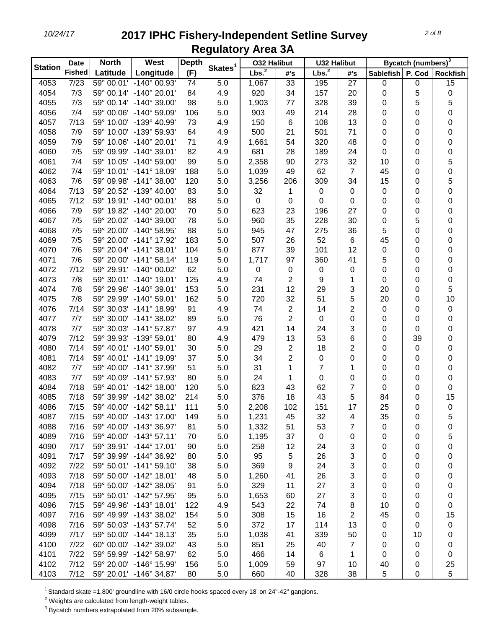| <b>Station</b> | <b>Date</b>   | <b>North</b> | West                    | <b>Depth</b> |                     | <b>032 Halibut</b> |                | <b>U32 Halibut</b> |                |           | Bycatch (numbers) <sup>3</sup> |                  |
|----------------|---------------|--------------|-------------------------|--------------|---------------------|--------------------|----------------|--------------------|----------------|-----------|--------------------------------|------------------|
|                | <b>Fished</b> | Latitude     | Longitude               | (F)          | Skates <sup>1</sup> | Lbs. <sup>2</sup>  | #'s            | Lbs. <sup>2</sup>  | #'s            | Sablefish | P. Cod                         | <b>Rockfish</b>  |
| 4053           | 7/23          |              | 59° 00.01' -140° 00.93' | 74           | 5.0                 | 1,067              | 33             | 195                | 27             | 0         | 0                              | 15               |
| 4054           | 7/3           |              | 59° 00.14' -140° 20.01' | 84           | 4.9                 | 920                | 34             | 157                | 20             | 0         | 5                              | 0                |
| 4055           | 7/3           |              | 59° 00.14' -140° 39.00' | 98           | 5.0                 | 1,903              | 77             | 328                | 39             | 0         | 5                              | 5                |
| 4056           | 7/4           |              | 59° 00.06' -140° 59.09' | 106          | 5.0                 | 903                | 49             | 214                | 28             | 0         | 0                              | 0                |
| 4057           | 7/13          |              | 59° 10.00' -139° 40.99' | 73           | 4.9                 | 150                | 6              | 108                | 13             | 0         | 0                              | 0                |
| 4058           | 7/9           |              | 59° 10.00' -139° 59.93' | 64           | 4.9                 | 500                | 21             | 501                | 71             | 0         | 0                              | 0                |
| 4059           | 7/9           | 59° 10.06'   | $-140^{\circ} 20.01'$   | 71           | 4.9                 | 1,661              | 54             | 320                | 48             | 0         | 0                              | 0                |
| 4060           | 7/5           |              | 59° 09.99' -140° 39.01' | 82           | 4.9                 | 681                | 28             | 189                | 24             | 0         | 0                              | 0                |
| 4061           | 7/4           |              | 59° 10.05' -140° 59.00' | 99           | 5.0                 | 2,358              | 90             | 273                | 32             | 10        | 0                              | 5                |
| 4062           | 7/4           |              | 59° 10.01' -141° 18.09' | 188          | 5.0                 | 1,039              | 49             | 62                 | $\overline{7}$ | 45        | 0                              | 0                |
| 4063           | 7/6           |              | 59° 09.98' -141° 38.00' | 120          | 5.0                 | 3,256              | 206            | 309                | 34             | 15        | 0                              | 5                |
| 4064           | 7/13          |              | 59° 20.52' -139° 40.00' | 83           | 5.0                 | 32                 | 1              | 0                  | 0              | 0         | 0                              | 0                |
| 4065           | 7/12          |              | 59° 19.91' -140° 00.01' | 88           | 5.0                 | 0                  | 0              | 0                  | 0              | 0         | 0                              | 0                |
| 4066           | 7/9           |              | 59° 19.82' -140° 20.00' | 70           | 5.0                 | 623                | 23             | 196                | 27             | 0         | 0                              | 0                |
| 4067           | 7/5           |              | 59° 20.02' -140° 39.00' | 78           | 5.0                 | 960                | 35             | 228                | 30             | 0         | 5                              | 0                |
| 4068           | 7/5           |              | 59° 20.00' -140° 58.95' | 88           | 5.0                 | 945                | 47             | 275                | 36             | 5         | 0                              | 0                |
| 4069           | 7/5           |              | 59° 20.00' -141° 17.92' | 183          | 5.0                 | 507                | 26             | 52                 | $\,6\,$        | 45        | 0                              | 0                |
| 4070           | 7/6           |              | 59° 20.04' -141° 38.01' | 104          | 5.0                 | 877                | 39             | 101                | 12             | 0         | 0                              | 0                |
| 4071           | 7/6           |              | 59° 20.00' -141° 58.14' | 119          | 5.0                 | 1,717              | 97             | 360                | 41             | 5         | 0                              | 0                |
| 4072           | 7/12          |              | 59° 29.91' -140° 00.02' | 62           | 5.0                 | 0                  | 0              | $\pmb{0}$          | 0              | 0         | 0                              | 0                |
| 4073           | 7/8           |              | 59° 30.01' -140° 19.01' | 125          | 4.9                 | 74                 | 2              | 9                  | 1              | 0         | 0                              | 0                |
| 4074           | 7/8           | 59° 29.96'   | $-140^{\circ}$ 39.01'   | 153          | 5.0                 | 231                | 12             | 29                 | 3              | 20        | 0                              | 5                |
| 4075           | 7/8           |              | 59° 29.99' -140° 59.01' | 162          | 5.0                 | 720                | 32             | 51                 | 5              | 20        | 0                              | 10               |
| 4076           | 7/14          |              | 59° 30.03' -141° 18.99' | 91           | 4.9                 | 74                 | 2              | 14                 | $\overline{2}$ | 0         | 0                              | 0                |
| 4077           | 7/7           |              | 59° 30.00' -141° 38.02' | 89           | 5.0                 | 76                 | 2              | $\pmb{0}$          | $\pmb{0}$      | 0         | 0                              | 0                |
| 4078           | 7/7           |              | 59° 30.03' -141° 57.87' | 97           | 4.9                 | 421                | 14             | 24                 | 3              | 0         | 0                              | 0                |
| 4079           | 7/12          |              | 59° 39.93' -139° 59.01' | 80           | 4.9                 | 479                | 13             | 53                 | 6              | 0         | 39                             | 0                |
| 4080           | 7/14          |              | 59° 40.01' -140° 59.01' | 30           | 5.0                 | 29                 | $\overline{c}$ | 18                 | 2              | 0         | 0                              | 0                |
| 4081           | 7/14          |              | 59° 40.01' -141° 19.09' | 37           | 5.0                 | 34                 | $\overline{c}$ | $\mathbf 0$        | 0              | 0         | 0                              | 0                |
| 4082           | 7/7           |              | 59° 40.00' -141° 37.99' | 51           | 5.0                 | 31                 | 1              | $\overline{7}$     | 1              | 0         | 0                              | 0                |
| 4083           | 7/7           |              | 59° 40.09' -141° 57.93' | 80           | 5.0                 | 24                 | 1              | 0                  | 0              | 0         | 0                              | 0                |
| 4084           | 7/18          |              | 59° 40.01' -142° 18.00' | 120          | 5.0                 | 823                | 43             | 62                 | 7              | 0         | 0                              | 0                |
| 4085           | 7/18          |              | 59° 39.99' -142° 38.02' | 214          | 5.0                 | 376                | 18             | 43                 | 5              | 84        | 0                              | 15               |
| 4086           | 7/15          |              | 59° 40.00' -142° 58.11' | 111          | 5.0                 | 2,208              | 102            | 151                | 17             | 25        | 0                              | $\boldsymbol{0}$ |
| 4087           | 7/15          |              | 59° 40.00' -143° 17.00' | 149          | 5.0                 | 1,231              | 45             | 32                 | 4              | 35        | 0                              | 5                |
| 4088           | 7/16          |              | 59° 40.00' -143° 36.97' | 81           | 5.0                 | 1,332              | 51             | 53                 | 7              | 0         | 0                              | 0                |
| 4089           | 7/16          |              | 59° 40.00' -143° 57.11' | 70           | 5.0                 | 1,195              | 37             | $\mathbf 0$        | 0              | 0         | 0                              | 5                |
| 4090           | 7/17          |              | 59° 39.91' -144° 17.01' | 90           | 5.0                 | 258                | 12             | 24                 | 3              | 0         | 0                              | 0                |
| 4091           | 7/17          |              | 59° 39.99' -144° 36.92' | 80           | 5.0                 | 95                 | 5              | 26                 | 3              | 0         | 0                              | 0                |
| 4092           | $7/22$        |              | 59° 50.01' -141° 59.10' | 38           | 5.0                 | 369                | 9              | 24                 | 3              | 0         | 0                              | 0                |
| 4093           | 7/18          |              | 59° 50.00' -142° 18.01' | 48           | 5.0                 | 1,260              | 41             | 26                 | 3              | 0         | 0                              | 0                |
| 4094           | 7/18          |              | 59° 50.00' -142° 38.05' | 91           | 5.0                 | 329                | 11             | 27                 | 3              | 0         | 0                              | 0                |
| 4095           | 7/15          |              | 59° 50.01' -142° 57.95' | 95           | 5.0                 | 1,653              | 60             | 27                 | 3              | 0         | 0                              | 0                |
| 4096           | 7/15          |              | 59° 49.96' -143° 18.01' | 122          | 4.9                 | 543                | 22             | 74                 | 8              | 10        | 0                              | 0                |
| 4097           | 7/16          |              | 59° 49.99' -143° 38.02' | 154          | 5.0                 | 308                | 15             | 16                 | 2              | 45        | 0                              | 15               |
| 4098           | 7/16          |              | 59° 50.03' -143° 57.74' | 52           | 5.0                 | 372                | 17             | 114                | 13             | 0         | 0                              | 0                |
| 4099           | 7/17          |              | 59° 50.00' -144° 18.13' | 35           | 5.0                 | 1,038              | 41             | 339                | 50             | 0         | 10                             | 0                |
| 4100           | 7/22          |              | 60° 00.00' -142° 39.02' | 43           | 5.0                 | 851                | 25             | 40                 | $\overline{7}$ | 0         | 0                              | 0                |
| 4101           | 7/22          |              | 59° 59.99' -142° 58.97' | 62           | 5.0                 | 466                | 14             | 6                  | 1              | 0         | 0                              | 0                |
| 4102           | 7/12          |              | 59° 20.00' -146° 15.99' | 156          | 5.0                 | 1,009              | 59             | 97                 | 10             | 40        | 0                              | 25               |
| 4103           | 7/12          |              | 59° 20.01' -146° 34.87' | 80           | 5.0                 | 660                | 40             | 328                | 38             | 5         | $\pmb{0}$                      | 5                |

<sup>1</sup> Standard skate =1,800' groundline with 16/0 circle hooks spaced every 18' on 24"-42" gangions.

Weights are calculated from length-weight tables.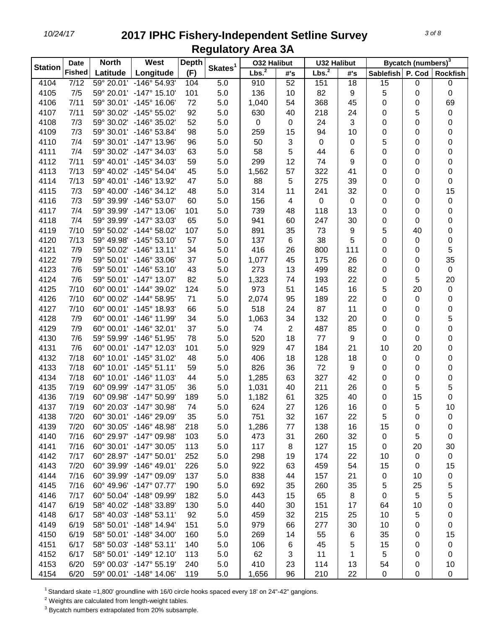| <b>Fished</b><br>Lbs. <sup>2</sup><br>(F)<br>Latitude<br>Longitude<br>P. Cod<br>#'s<br>Sablefish<br>#'s<br>$\overline{7/12}$<br>4104<br>59° 20.01' -146° 54.93'<br>104<br>5.0<br>52<br>151<br>18<br>15<br>0<br>910<br>0<br>4105<br>7/5<br>59° 20.01' -147° 15.10'<br>101<br>5.0<br>136<br>10<br>82<br>$\boldsymbol{9}$<br>5<br>0<br>0<br>69<br>4106<br>7/11<br>59° 30.01' -145° 16.06'<br>72<br>5.0<br>54<br>368<br>45<br>1,040<br>0<br>0<br>92<br>4107<br>7/11<br>59° 30.02' -145° 55.02'<br>5.0<br>630<br>40<br>218<br>24<br>5<br>0<br>0<br>52<br>3<br>4108<br>7/3<br>59° 30.02' -146° 35.02'<br>5.0<br>0<br>24<br>0<br>0<br>0<br>0<br>4109<br>7/3<br>59° 30.01' -146° 53.84'<br>98<br>5.0<br>259<br>15<br>94<br>10<br>0<br>0<br>0<br>3<br>5<br>4110<br>7/4<br>59° 30.01' -147° 13.96'<br>96<br>5.0<br>50<br>$\mathbf 0$<br>$\pmb{0}$<br>0<br>0<br>5<br>$\,6$<br>4111<br>7/4<br>59° 30.02' -147° 34.03'<br>63<br>5.0<br>58<br>44<br>0<br>0<br>0<br>12<br>9<br>4112<br>7/11<br>59° 40.01' -145° 34.03'<br>59<br>5.0<br>299<br>74<br>0<br>0<br>0<br>57<br>41<br>4113<br>7/13<br>59° 40.02' -145° 54.04'<br>45<br>5.0<br>1,562<br>322<br>0<br>0<br>0<br>4114<br>7/13<br>59° 40.01' -146° 13.92'<br>47<br>5.0<br>88<br>5<br>275<br>39<br>0<br>0<br>0<br>32<br>15<br>4115<br>7/3<br>59° 40.00' -146° 34.12'<br>48<br>5.0<br>314<br>11<br>241<br>0<br>0<br>4116<br>7/3<br>5.0<br>$\pmb{0}$<br>0<br>59° 39.99' -146° 53.07'<br>60<br>156<br>$\overline{4}$<br>$\mathbf 0$<br>0<br>0<br>13<br>4117<br>7/4<br>5.0<br>739<br>48<br>118<br>0<br>59° 39.99' -147° 13.06'<br>101<br>0<br>0<br>4118<br>7/4<br>65<br>5.0<br>941<br>60<br>247<br>30<br>59° 39.99' -147° 33.03'<br>0<br>0<br>0<br>4119<br>7/10<br>59° 50.02' -144° 58.02'<br>107<br>891<br>35<br>73<br>$\boldsymbol{9}$<br>5<br>0<br>5.0<br>40<br>4120<br>7/13<br>59° 49.98' -145° 53.10'<br>57<br>6<br>38<br>5<br>0<br>5.0<br>137<br>0<br>0<br>5<br>4121<br>7/9<br>59° 50.02' -146° 13.11'<br>34<br>5.0<br>416<br>26<br>800<br>111<br>0<br>0<br>35<br>4122<br>7/9<br>59° 50.01' -146° 33.06'<br>37<br>5.0<br>45<br>175<br>26<br>1,077<br>0<br>0<br>4123<br>7/6<br>59° 50.01' -146° 53.10'<br>43<br>5.0<br>273<br>13<br>499<br>82<br>$\pmb{0}$<br>0<br>0<br>22<br>5<br>4124<br>7/6<br>59° 50.01' -147° 13.07'<br>82<br>5.0<br>1,323<br>74<br>193<br>0<br>20<br>16<br>4125<br>7/10<br>60° 00.01' -144° 39.02'<br>124<br>5.0<br>973<br>51<br>145<br>5<br>20<br>$\pmb{0}$<br>22<br>4126<br>7/10<br>60° 00.02' -144° 58.95'<br>71<br>5.0<br>2,074<br>95<br>189<br>0<br>$\pmb{0}$<br>0<br>24<br>11<br>4127<br>7/10<br>60° 00.01' -145° 18.93'<br>66<br>5.0<br>518<br>87<br>0<br>0<br>0<br>20<br>5<br>4128<br>60° 00.01' -146° 11.99'<br>34<br>5.0<br>1,063<br>34<br>132<br>0<br>7/9<br>0<br>$\boldsymbol{2}$<br>85<br>0<br>4129<br>7/9<br>60° 00.01' -146° 32.01'<br>37<br>5.0<br>487<br>74<br>0<br>0<br>4130<br>7/6<br>59° 59.99' -146° 51.95'<br>78<br>520<br>18<br>77<br>$\boldsymbol{9}$<br>0<br>5.0<br>0<br>0<br>21<br>4131<br>7/6<br>60° 00.01' -147° 12.03'<br>929<br>47<br>184<br>10<br>20<br>0<br>101<br>5.0<br>4132<br>7/18<br>60° 10.01' -145° 31.02'<br>406<br>18<br>128<br>18<br>0<br>0<br>48<br>5.0<br>0<br>4133<br>7/18<br>5.0<br>826<br>36<br>72<br>9<br>0<br>60° 10.01' -145° 51.11'<br>59<br>0<br>0<br>4134<br>7/18<br>60° 10.01' -146° 11.03'<br>63<br>327<br>42<br>44<br>5.0<br>1,285<br>0<br>0<br>0<br>4135<br>7/19<br>60° 09.99' -147° 31.05'<br>1,031<br>211<br>26<br>5<br>5<br>36<br>5.0<br>40<br>0<br>4136<br>7/19<br>60° 09.98' -147° 50.99'<br>325<br>40<br>15<br>0<br>189<br>5.0<br>1,182<br>61<br>0<br>5<br>10<br>4137<br>7/19<br>60° 20.03' -147° 30.98'<br>74<br>5.0<br>624<br>27<br>126<br>16<br>0<br>4138<br>7/20<br>60° 30.01' -146° 29.09'<br>35<br>5.0<br>751<br>32<br>22<br>5<br>167<br>0<br>0<br>4139<br>7/20<br>60° 30.05' -146° 48.98'<br>5.0<br>77<br>138<br>15<br>218<br>1,286<br>16<br>0<br>0<br>4140<br>7/16<br>60° 29.97' -147° 09.98'<br>5.0<br>31<br>32<br>5<br>103<br>473<br>260<br>0<br>0<br>7/16<br>60° 30.01' -147° 30.05'<br>113<br>117<br>8<br>127<br>15<br>4141<br>5.0<br>0<br>20<br>30<br>4142<br>7/17<br>60° 28.97' -147° 50.01'<br>252<br>5.0<br>298<br>174<br>22<br>$\mathbf 0$<br>19<br>10<br>0 | <b>Station</b> | <b>Date</b> | <b>North</b> | West | <b>Depth</b> |                     | <b>032 Halibut</b> |    | <b>U32 Halibut</b> |    |    | Bycatch (numbers) <sup>3</sup> |                 |
|--------------------------------------------------------------------------------------------------------------------------------------------------------------------------------------------------------------------------------------------------------------------------------------------------------------------------------------------------------------------------------------------------------------------------------------------------------------------------------------------------------------------------------------------------------------------------------------------------------------------------------------------------------------------------------------------------------------------------------------------------------------------------------------------------------------------------------------------------------------------------------------------------------------------------------------------------------------------------------------------------------------------------------------------------------------------------------------------------------------------------------------------------------------------------------------------------------------------------------------------------------------------------------------------------------------------------------------------------------------------------------------------------------------------------------------------------------------------------------------------------------------------------------------------------------------------------------------------------------------------------------------------------------------------------------------------------------------------------------------------------------------------------------------------------------------------------------------------------------------------------------------------------------------------------------------------------------------------------------------------------------------------------------------------------------------------------------------------------------------------------------------------------------------------------------------------------------------------------------------------------------------------------------------------------------------------------------------------------------------------------------------------------------------------------------------------------------------------------------------------------------------------------------------------------------------------------------------------------------------------------------------------------------------------------------------------------------------------------------------------------------------------------------------------------------------------------------------------------------------------------------------------------------------------------------------------------------------------------------------------------------------------------------------------------------------------------------------------------------------------------------------------------------------------------------------------------------------------------------------------------------------------------------------------------------------------------------------------------------------------------------------------------------------------------------------------------------------------------------------------------------------------------------------------------------------------------------------------------------------------------------------------------------------------------------------------------------------------------------------------------------------------------------------------------------------------------------------------------------------------------------------------------------------------------------------------------------------------------------------------------------------------------------------------------------------------------------------------------------------------------------------------------------------------------------------------------------|----------------|-------------|--------------|------|--------------|---------------------|--------------------|----|--------------------|----|----|--------------------------------|-----------------|
|                                                                                                                                                                                                                                                                                                                                                                                                                                                                                                                                                                                                                                                                                                                                                                                                                                                                                                                                                                                                                                                                                                                                                                                                                                                                                                                                                                                                                                                                                                                                                                                                                                                                                                                                                                                                                                                                                                                                                                                                                                                                                                                                                                                                                                                                                                                                                                                                                                                                                                                                                                                                                                                                                                                                                                                                                                                                                                                                                                                                                                                                                                                                                                                                                                                                                                                                                                                                                                                                                                                                                                                                                                                                                                                                                                                                                                                                                                                                                                                                                                                                                                                                                                                                        |                |             |              |      |              | Skates <sup>1</sup> | Lbs. <sup>2</sup>  |    |                    |    |    |                                | <b>Rockfish</b> |
|                                                                                                                                                                                                                                                                                                                                                                                                                                                                                                                                                                                                                                                                                                                                                                                                                                                                                                                                                                                                                                                                                                                                                                                                                                                                                                                                                                                                                                                                                                                                                                                                                                                                                                                                                                                                                                                                                                                                                                                                                                                                                                                                                                                                                                                                                                                                                                                                                                                                                                                                                                                                                                                                                                                                                                                                                                                                                                                                                                                                                                                                                                                                                                                                                                                                                                                                                                                                                                                                                                                                                                                                                                                                                                                                                                                                                                                                                                                                                                                                                                                                                                                                                                                                        |                |             |              |      |              |                     |                    |    |                    |    |    |                                |                 |
|                                                                                                                                                                                                                                                                                                                                                                                                                                                                                                                                                                                                                                                                                                                                                                                                                                                                                                                                                                                                                                                                                                                                                                                                                                                                                                                                                                                                                                                                                                                                                                                                                                                                                                                                                                                                                                                                                                                                                                                                                                                                                                                                                                                                                                                                                                                                                                                                                                                                                                                                                                                                                                                                                                                                                                                                                                                                                                                                                                                                                                                                                                                                                                                                                                                                                                                                                                                                                                                                                                                                                                                                                                                                                                                                                                                                                                                                                                                                                                                                                                                                                                                                                                                                        |                |             |              |      |              |                     |                    |    |                    |    |    |                                |                 |
|                                                                                                                                                                                                                                                                                                                                                                                                                                                                                                                                                                                                                                                                                                                                                                                                                                                                                                                                                                                                                                                                                                                                                                                                                                                                                                                                                                                                                                                                                                                                                                                                                                                                                                                                                                                                                                                                                                                                                                                                                                                                                                                                                                                                                                                                                                                                                                                                                                                                                                                                                                                                                                                                                                                                                                                                                                                                                                                                                                                                                                                                                                                                                                                                                                                                                                                                                                                                                                                                                                                                                                                                                                                                                                                                                                                                                                                                                                                                                                                                                                                                                                                                                                                                        |                |             |              |      |              |                     |                    |    |                    |    |    |                                |                 |
|                                                                                                                                                                                                                                                                                                                                                                                                                                                                                                                                                                                                                                                                                                                                                                                                                                                                                                                                                                                                                                                                                                                                                                                                                                                                                                                                                                                                                                                                                                                                                                                                                                                                                                                                                                                                                                                                                                                                                                                                                                                                                                                                                                                                                                                                                                                                                                                                                                                                                                                                                                                                                                                                                                                                                                                                                                                                                                                                                                                                                                                                                                                                                                                                                                                                                                                                                                                                                                                                                                                                                                                                                                                                                                                                                                                                                                                                                                                                                                                                                                                                                                                                                                                                        |                |             |              |      |              |                     |                    |    |                    |    |    |                                |                 |
|                                                                                                                                                                                                                                                                                                                                                                                                                                                                                                                                                                                                                                                                                                                                                                                                                                                                                                                                                                                                                                                                                                                                                                                                                                                                                                                                                                                                                                                                                                                                                                                                                                                                                                                                                                                                                                                                                                                                                                                                                                                                                                                                                                                                                                                                                                                                                                                                                                                                                                                                                                                                                                                                                                                                                                                                                                                                                                                                                                                                                                                                                                                                                                                                                                                                                                                                                                                                                                                                                                                                                                                                                                                                                                                                                                                                                                                                                                                                                                                                                                                                                                                                                                                                        |                |             |              |      |              |                     |                    |    |                    |    |    |                                |                 |
|                                                                                                                                                                                                                                                                                                                                                                                                                                                                                                                                                                                                                                                                                                                                                                                                                                                                                                                                                                                                                                                                                                                                                                                                                                                                                                                                                                                                                                                                                                                                                                                                                                                                                                                                                                                                                                                                                                                                                                                                                                                                                                                                                                                                                                                                                                                                                                                                                                                                                                                                                                                                                                                                                                                                                                                                                                                                                                                                                                                                                                                                                                                                                                                                                                                                                                                                                                                                                                                                                                                                                                                                                                                                                                                                                                                                                                                                                                                                                                                                                                                                                                                                                                                                        |                |             |              |      |              |                     |                    |    |                    |    |    |                                |                 |
|                                                                                                                                                                                                                                                                                                                                                                                                                                                                                                                                                                                                                                                                                                                                                                                                                                                                                                                                                                                                                                                                                                                                                                                                                                                                                                                                                                                                                                                                                                                                                                                                                                                                                                                                                                                                                                                                                                                                                                                                                                                                                                                                                                                                                                                                                                                                                                                                                                                                                                                                                                                                                                                                                                                                                                                                                                                                                                                                                                                                                                                                                                                                                                                                                                                                                                                                                                                                                                                                                                                                                                                                                                                                                                                                                                                                                                                                                                                                                                                                                                                                                                                                                                                                        |                |             |              |      |              |                     |                    |    |                    |    |    |                                |                 |
|                                                                                                                                                                                                                                                                                                                                                                                                                                                                                                                                                                                                                                                                                                                                                                                                                                                                                                                                                                                                                                                                                                                                                                                                                                                                                                                                                                                                                                                                                                                                                                                                                                                                                                                                                                                                                                                                                                                                                                                                                                                                                                                                                                                                                                                                                                                                                                                                                                                                                                                                                                                                                                                                                                                                                                                                                                                                                                                                                                                                                                                                                                                                                                                                                                                                                                                                                                                                                                                                                                                                                                                                                                                                                                                                                                                                                                                                                                                                                                                                                                                                                                                                                                                                        |                |             |              |      |              |                     |                    |    |                    |    |    |                                |                 |
|                                                                                                                                                                                                                                                                                                                                                                                                                                                                                                                                                                                                                                                                                                                                                                                                                                                                                                                                                                                                                                                                                                                                                                                                                                                                                                                                                                                                                                                                                                                                                                                                                                                                                                                                                                                                                                                                                                                                                                                                                                                                                                                                                                                                                                                                                                                                                                                                                                                                                                                                                                                                                                                                                                                                                                                                                                                                                                                                                                                                                                                                                                                                                                                                                                                                                                                                                                                                                                                                                                                                                                                                                                                                                                                                                                                                                                                                                                                                                                                                                                                                                                                                                                                                        |                |             |              |      |              |                     |                    |    |                    |    |    |                                |                 |
|                                                                                                                                                                                                                                                                                                                                                                                                                                                                                                                                                                                                                                                                                                                                                                                                                                                                                                                                                                                                                                                                                                                                                                                                                                                                                                                                                                                                                                                                                                                                                                                                                                                                                                                                                                                                                                                                                                                                                                                                                                                                                                                                                                                                                                                                                                                                                                                                                                                                                                                                                                                                                                                                                                                                                                                                                                                                                                                                                                                                                                                                                                                                                                                                                                                                                                                                                                                                                                                                                                                                                                                                                                                                                                                                                                                                                                                                                                                                                                                                                                                                                                                                                                                                        |                |             |              |      |              |                     |                    |    |                    |    |    |                                |                 |
|                                                                                                                                                                                                                                                                                                                                                                                                                                                                                                                                                                                                                                                                                                                                                                                                                                                                                                                                                                                                                                                                                                                                                                                                                                                                                                                                                                                                                                                                                                                                                                                                                                                                                                                                                                                                                                                                                                                                                                                                                                                                                                                                                                                                                                                                                                                                                                                                                                                                                                                                                                                                                                                                                                                                                                                                                                                                                                                                                                                                                                                                                                                                                                                                                                                                                                                                                                                                                                                                                                                                                                                                                                                                                                                                                                                                                                                                                                                                                                                                                                                                                                                                                                                                        |                |             |              |      |              |                     |                    |    |                    |    |    |                                |                 |
|                                                                                                                                                                                                                                                                                                                                                                                                                                                                                                                                                                                                                                                                                                                                                                                                                                                                                                                                                                                                                                                                                                                                                                                                                                                                                                                                                                                                                                                                                                                                                                                                                                                                                                                                                                                                                                                                                                                                                                                                                                                                                                                                                                                                                                                                                                                                                                                                                                                                                                                                                                                                                                                                                                                                                                                                                                                                                                                                                                                                                                                                                                                                                                                                                                                                                                                                                                                                                                                                                                                                                                                                                                                                                                                                                                                                                                                                                                                                                                                                                                                                                                                                                                                                        |                |             |              |      |              |                     |                    |    |                    |    |    |                                |                 |
|                                                                                                                                                                                                                                                                                                                                                                                                                                                                                                                                                                                                                                                                                                                                                                                                                                                                                                                                                                                                                                                                                                                                                                                                                                                                                                                                                                                                                                                                                                                                                                                                                                                                                                                                                                                                                                                                                                                                                                                                                                                                                                                                                                                                                                                                                                                                                                                                                                                                                                                                                                                                                                                                                                                                                                                                                                                                                                                                                                                                                                                                                                                                                                                                                                                                                                                                                                                                                                                                                                                                                                                                                                                                                                                                                                                                                                                                                                                                                                                                                                                                                                                                                                                                        |                |             |              |      |              |                     |                    |    |                    |    |    |                                |                 |
|                                                                                                                                                                                                                                                                                                                                                                                                                                                                                                                                                                                                                                                                                                                                                                                                                                                                                                                                                                                                                                                                                                                                                                                                                                                                                                                                                                                                                                                                                                                                                                                                                                                                                                                                                                                                                                                                                                                                                                                                                                                                                                                                                                                                                                                                                                                                                                                                                                                                                                                                                                                                                                                                                                                                                                                                                                                                                                                                                                                                                                                                                                                                                                                                                                                                                                                                                                                                                                                                                                                                                                                                                                                                                                                                                                                                                                                                                                                                                                                                                                                                                                                                                                                                        |                |             |              |      |              |                     |                    |    |                    |    |    |                                |                 |
|                                                                                                                                                                                                                                                                                                                                                                                                                                                                                                                                                                                                                                                                                                                                                                                                                                                                                                                                                                                                                                                                                                                                                                                                                                                                                                                                                                                                                                                                                                                                                                                                                                                                                                                                                                                                                                                                                                                                                                                                                                                                                                                                                                                                                                                                                                                                                                                                                                                                                                                                                                                                                                                                                                                                                                                                                                                                                                                                                                                                                                                                                                                                                                                                                                                                                                                                                                                                                                                                                                                                                                                                                                                                                                                                                                                                                                                                                                                                                                                                                                                                                                                                                                                                        |                |             |              |      |              |                     |                    |    |                    |    |    |                                |                 |
|                                                                                                                                                                                                                                                                                                                                                                                                                                                                                                                                                                                                                                                                                                                                                                                                                                                                                                                                                                                                                                                                                                                                                                                                                                                                                                                                                                                                                                                                                                                                                                                                                                                                                                                                                                                                                                                                                                                                                                                                                                                                                                                                                                                                                                                                                                                                                                                                                                                                                                                                                                                                                                                                                                                                                                                                                                                                                                                                                                                                                                                                                                                                                                                                                                                                                                                                                                                                                                                                                                                                                                                                                                                                                                                                                                                                                                                                                                                                                                                                                                                                                                                                                                                                        |                |             |              |      |              |                     |                    |    |                    |    |    |                                |                 |
|                                                                                                                                                                                                                                                                                                                                                                                                                                                                                                                                                                                                                                                                                                                                                                                                                                                                                                                                                                                                                                                                                                                                                                                                                                                                                                                                                                                                                                                                                                                                                                                                                                                                                                                                                                                                                                                                                                                                                                                                                                                                                                                                                                                                                                                                                                                                                                                                                                                                                                                                                                                                                                                                                                                                                                                                                                                                                                                                                                                                                                                                                                                                                                                                                                                                                                                                                                                                                                                                                                                                                                                                                                                                                                                                                                                                                                                                                                                                                                                                                                                                                                                                                                                                        |                |             |              |      |              |                     |                    |    |                    |    |    |                                |                 |
|                                                                                                                                                                                                                                                                                                                                                                                                                                                                                                                                                                                                                                                                                                                                                                                                                                                                                                                                                                                                                                                                                                                                                                                                                                                                                                                                                                                                                                                                                                                                                                                                                                                                                                                                                                                                                                                                                                                                                                                                                                                                                                                                                                                                                                                                                                                                                                                                                                                                                                                                                                                                                                                                                                                                                                                                                                                                                                                                                                                                                                                                                                                                                                                                                                                                                                                                                                                                                                                                                                                                                                                                                                                                                                                                                                                                                                                                                                                                                                                                                                                                                                                                                                                                        |                |             |              |      |              |                     |                    |    |                    |    |    |                                |                 |
|                                                                                                                                                                                                                                                                                                                                                                                                                                                                                                                                                                                                                                                                                                                                                                                                                                                                                                                                                                                                                                                                                                                                                                                                                                                                                                                                                                                                                                                                                                                                                                                                                                                                                                                                                                                                                                                                                                                                                                                                                                                                                                                                                                                                                                                                                                                                                                                                                                                                                                                                                                                                                                                                                                                                                                                                                                                                                                                                                                                                                                                                                                                                                                                                                                                                                                                                                                                                                                                                                                                                                                                                                                                                                                                                                                                                                                                                                                                                                                                                                                                                                                                                                                                                        |                |             |              |      |              |                     |                    |    |                    |    |    |                                |                 |
|                                                                                                                                                                                                                                                                                                                                                                                                                                                                                                                                                                                                                                                                                                                                                                                                                                                                                                                                                                                                                                                                                                                                                                                                                                                                                                                                                                                                                                                                                                                                                                                                                                                                                                                                                                                                                                                                                                                                                                                                                                                                                                                                                                                                                                                                                                                                                                                                                                                                                                                                                                                                                                                                                                                                                                                                                                                                                                                                                                                                                                                                                                                                                                                                                                                                                                                                                                                                                                                                                                                                                                                                                                                                                                                                                                                                                                                                                                                                                                                                                                                                                                                                                                                                        |                |             |              |      |              |                     |                    |    |                    |    |    |                                |                 |
|                                                                                                                                                                                                                                                                                                                                                                                                                                                                                                                                                                                                                                                                                                                                                                                                                                                                                                                                                                                                                                                                                                                                                                                                                                                                                                                                                                                                                                                                                                                                                                                                                                                                                                                                                                                                                                                                                                                                                                                                                                                                                                                                                                                                                                                                                                                                                                                                                                                                                                                                                                                                                                                                                                                                                                                                                                                                                                                                                                                                                                                                                                                                                                                                                                                                                                                                                                                                                                                                                                                                                                                                                                                                                                                                                                                                                                                                                                                                                                                                                                                                                                                                                                                                        |                |             |              |      |              |                     |                    |    |                    |    |    |                                |                 |
|                                                                                                                                                                                                                                                                                                                                                                                                                                                                                                                                                                                                                                                                                                                                                                                                                                                                                                                                                                                                                                                                                                                                                                                                                                                                                                                                                                                                                                                                                                                                                                                                                                                                                                                                                                                                                                                                                                                                                                                                                                                                                                                                                                                                                                                                                                                                                                                                                                                                                                                                                                                                                                                                                                                                                                                                                                                                                                                                                                                                                                                                                                                                                                                                                                                                                                                                                                                                                                                                                                                                                                                                                                                                                                                                                                                                                                                                                                                                                                                                                                                                                                                                                                                                        |                |             |              |      |              |                     |                    |    |                    |    |    |                                |                 |
|                                                                                                                                                                                                                                                                                                                                                                                                                                                                                                                                                                                                                                                                                                                                                                                                                                                                                                                                                                                                                                                                                                                                                                                                                                                                                                                                                                                                                                                                                                                                                                                                                                                                                                                                                                                                                                                                                                                                                                                                                                                                                                                                                                                                                                                                                                                                                                                                                                                                                                                                                                                                                                                                                                                                                                                                                                                                                                                                                                                                                                                                                                                                                                                                                                                                                                                                                                                                                                                                                                                                                                                                                                                                                                                                                                                                                                                                                                                                                                                                                                                                                                                                                                                                        |                |             |              |      |              |                     |                    |    |                    |    |    |                                |                 |
|                                                                                                                                                                                                                                                                                                                                                                                                                                                                                                                                                                                                                                                                                                                                                                                                                                                                                                                                                                                                                                                                                                                                                                                                                                                                                                                                                                                                                                                                                                                                                                                                                                                                                                                                                                                                                                                                                                                                                                                                                                                                                                                                                                                                                                                                                                                                                                                                                                                                                                                                                                                                                                                                                                                                                                                                                                                                                                                                                                                                                                                                                                                                                                                                                                                                                                                                                                                                                                                                                                                                                                                                                                                                                                                                                                                                                                                                                                                                                                                                                                                                                                                                                                                                        |                |             |              |      |              |                     |                    |    |                    |    |    |                                |                 |
|                                                                                                                                                                                                                                                                                                                                                                                                                                                                                                                                                                                                                                                                                                                                                                                                                                                                                                                                                                                                                                                                                                                                                                                                                                                                                                                                                                                                                                                                                                                                                                                                                                                                                                                                                                                                                                                                                                                                                                                                                                                                                                                                                                                                                                                                                                                                                                                                                                                                                                                                                                                                                                                                                                                                                                                                                                                                                                                                                                                                                                                                                                                                                                                                                                                                                                                                                                                                                                                                                                                                                                                                                                                                                                                                                                                                                                                                                                                                                                                                                                                                                                                                                                                                        |                |             |              |      |              |                     |                    |    |                    |    |    |                                |                 |
|                                                                                                                                                                                                                                                                                                                                                                                                                                                                                                                                                                                                                                                                                                                                                                                                                                                                                                                                                                                                                                                                                                                                                                                                                                                                                                                                                                                                                                                                                                                                                                                                                                                                                                                                                                                                                                                                                                                                                                                                                                                                                                                                                                                                                                                                                                                                                                                                                                                                                                                                                                                                                                                                                                                                                                                                                                                                                                                                                                                                                                                                                                                                                                                                                                                                                                                                                                                                                                                                                                                                                                                                                                                                                                                                                                                                                                                                                                                                                                                                                                                                                                                                                                                                        |                |             |              |      |              |                     |                    |    |                    |    |    |                                |                 |
|                                                                                                                                                                                                                                                                                                                                                                                                                                                                                                                                                                                                                                                                                                                                                                                                                                                                                                                                                                                                                                                                                                                                                                                                                                                                                                                                                                                                                                                                                                                                                                                                                                                                                                                                                                                                                                                                                                                                                                                                                                                                                                                                                                                                                                                                                                                                                                                                                                                                                                                                                                                                                                                                                                                                                                                                                                                                                                                                                                                                                                                                                                                                                                                                                                                                                                                                                                                                                                                                                                                                                                                                                                                                                                                                                                                                                                                                                                                                                                                                                                                                                                                                                                                                        |                |             |              |      |              |                     |                    |    |                    |    |    |                                |                 |
|                                                                                                                                                                                                                                                                                                                                                                                                                                                                                                                                                                                                                                                                                                                                                                                                                                                                                                                                                                                                                                                                                                                                                                                                                                                                                                                                                                                                                                                                                                                                                                                                                                                                                                                                                                                                                                                                                                                                                                                                                                                                                                                                                                                                                                                                                                                                                                                                                                                                                                                                                                                                                                                                                                                                                                                                                                                                                                                                                                                                                                                                                                                                                                                                                                                                                                                                                                                                                                                                                                                                                                                                                                                                                                                                                                                                                                                                                                                                                                                                                                                                                                                                                                                                        |                |             |              |      |              |                     |                    |    |                    |    |    |                                |                 |
|                                                                                                                                                                                                                                                                                                                                                                                                                                                                                                                                                                                                                                                                                                                                                                                                                                                                                                                                                                                                                                                                                                                                                                                                                                                                                                                                                                                                                                                                                                                                                                                                                                                                                                                                                                                                                                                                                                                                                                                                                                                                                                                                                                                                                                                                                                                                                                                                                                                                                                                                                                                                                                                                                                                                                                                                                                                                                                                                                                                                                                                                                                                                                                                                                                                                                                                                                                                                                                                                                                                                                                                                                                                                                                                                                                                                                                                                                                                                                                                                                                                                                                                                                                                                        |                |             |              |      |              |                     |                    |    |                    |    |    |                                |                 |
|                                                                                                                                                                                                                                                                                                                                                                                                                                                                                                                                                                                                                                                                                                                                                                                                                                                                                                                                                                                                                                                                                                                                                                                                                                                                                                                                                                                                                                                                                                                                                                                                                                                                                                                                                                                                                                                                                                                                                                                                                                                                                                                                                                                                                                                                                                                                                                                                                                                                                                                                                                                                                                                                                                                                                                                                                                                                                                                                                                                                                                                                                                                                                                                                                                                                                                                                                                                                                                                                                                                                                                                                                                                                                                                                                                                                                                                                                                                                                                                                                                                                                                                                                                                                        |                |             |              |      |              |                     |                    |    |                    |    |    |                                |                 |
|                                                                                                                                                                                                                                                                                                                                                                                                                                                                                                                                                                                                                                                                                                                                                                                                                                                                                                                                                                                                                                                                                                                                                                                                                                                                                                                                                                                                                                                                                                                                                                                                                                                                                                                                                                                                                                                                                                                                                                                                                                                                                                                                                                                                                                                                                                                                                                                                                                                                                                                                                                                                                                                                                                                                                                                                                                                                                                                                                                                                                                                                                                                                                                                                                                                                                                                                                                                                                                                                                                                                                                                                                                                                                                                                                                                                                                                                                                                                                                                                                                                                                                                                                                                                        |                |             |              |      |              |                     |                    |    |                    |    |    |                                |                 |
|                                                                                                                                                                                                                                                                                                                                                                                                                                                                                                                                                                                                                                                                                                                                                                                                                                                                                                                                                                                                                                                                                                                                                                                                                                                                                                                                                                                                                                                                                                                                                                                                                                                                                                                                                                                                                                                                                                                                                                                                                                                                                                                                                                                                                                                                                                                                                                                                                                                                                                                                                                                                                                                                                                                                                                                                                                                                                                                                                                                                                                                                                                                                                                                                                                                                                                                                                                                                                                                                                                                                                                                                                                                                                                                                                                                                                                                                                                                                                                                                                                                                                                                                                                                                        |                |             |              |      |              |                     |                    |    |                    |    |    |                                |                 |
|                                                                                                                                                                                                                                                                                                                                                                                                                                                                                                                                                                                                                                                                                                                                                                                                                                                                                                                                                                                                                                                                                                                                                                                                                                                                                                                                                                                                                                                                                                                                                                                                                                                                                                                                                                                                                                                                                                                                                                                                                                                                                                                                                                                                                                                                                                                                                                                                                                                                                                                                                                                                                                                                                                                                                                                                                                                                                                                                                                                                                                                                                                                                                                                                                                                                                                                                                                                                                                                                                                                                                                                                                                                                                                                                                                                                                                                                                                                                                                                                                                                                                                                                                                                                        |                |             |              |      |              |                     |                    |    |                    |    |    |                                |                 |
|                                                                                                                                                                                                                                                                                                                                                                                                                                                                                                                                                                                                                                                                                                                                                                                                                                                                                                                                                                                                                                                                                                                                                                                                                                                                                                                                                                                                                                                                                                                                                                                                                                                                                                                                                                                                                                                                                                                                                                                                                                                                                                                                                                                                                                                                                                                                                                                                                                                                                                                                                                                                                                                                                                                                                                                                                                                                                                                                                                                                                                                                                                                                                                                                                                                                                                                                                                                                                                                                                                                                                                                                                                                                                                                                                                                                                                                                                                                                                                                                                                                                                                                                                                                                        |                |             |              |      |              |                     |                    |    |                    |    |    |                                |                 |
|                                                                                                                                                                                                                                                                                                                                                                                                                                                                                                                                                                                                                                                                                                                                                                                                                                                                                                                                                                                                                                                                                                                                                                                                                                                                                                                                                                                                                                                                                                                                                                                                                                                                                                                                                                                                                                                                                                                                                                                                                                                                                                                                                                                                                                                                                                                                                                                                                                                                                                                                                                                                                                                                                                                                                                                                                                                                                                                                                                                                                                                                                                                                                                                                                                                                                                                                                                                                                                                                                                                                                                                                                                                                                                                                                                                                                                                                                                                                                                                                                                                                                                                                                                                                        |                |             |              |      |              |                     |                    |    |                    |    |    |                                |                 |
|                                                                                                                                                                                                                                                                                                                                                                                                                                                                                                                                                                                                                                                                                                                                                                                                                                                                                                                                                                                                                                                                                                                                                                                                                                                                                                                                                                                                                                                                                                                                                                                                                                                                                                                                                                                                                                                                                                                                                                                                                                                                                                                                                                                                                                                                                                                                                                                                                                                                                                                                                                                                                                                                                                                                                                                                                                                                                                                                                                                                                                                                                                                                                                                                                                                                                                                                                                                                                                                                                                                                                                                                                                                                                                                                                                                                                                                                                                                                                                                                                                                                                                                                                                                                        |                |             |              |      |              |                     |                    |    |                    |    |    |                                |                 |
|                                                                                                                                                                                                                                                                                                                                                                                                                                                                                                                                                                                                                                                                                                                                                                                                                                                                                                                                                                                                                                                                                                                                                                                                                                                                                                                                                                                                                                                                                                                                                                                                                                                                                                                                                                                                                                                                                                                                                                                                                                                                                                                                                                                                                                                                                                                                                                                                                                                                                                                                                                                                                                                                                                                                                                                                                                                                                                                                                                                                                                                                                                                                                                                                                                                                                                                                                                                                                                                                                                                                                                                                                                                                                                                                                                                                                                                                                                                                                                                                                                                                                                                                                                                                        |                |             |              |      |              |                     |                    |    |                    |    |    |                                |                 |
|                                                                                                                                                                                                                                                                                                                                                                                                                                                                                                                                                                                                                                                                                                                                                                                                                                                                                                                                                                                                                                                                                                                                                                                                                                                                                                                                                                                                                                                                                                                                                                                                                                                                                                                                                                                                                                                                                                                                                                                                                                                                                                                                                                                                                                                                                                                                                                                                                                                                                                                                                                                                                                                                                                                                                                                                                                                                                                                                                                                                                                                                                                                                                                                                                                                                                                                                                                                                                                                                                                                                                                                                                                                                                                                                                                                                                                                                                                                                                                                                                                                                                                                                                                                                        |                |             |              |      |              |                     |                    |    |                    |    |    |                                |                 |
|                                                                                                                                                                                                                                                                                                                                                                                                                                                                                                                                                                                                                                                                                                                                                                                                                                                                                                                                                                                                                                                                                                                                                                                                                                                                                                                                                                                                                                                                                                                                                                                                                                                                                                                                                                                                                                                                                                                                                                                                                                                                                                                                                                                                                                                                                                                                                                                                                                                                                                                                                                                                                                                                                                                                                                                                                                                                                                                                                                                                                                                                                                                                                                                                                                                                                                                                                                                                                                                                                                                                                                                                                                                                                                                                                                                                                                                                                                                                                                                                                                                                                                                                                                                                        |                |             |              |      |              |                     |                    |    |                    |    |    |                                |                 |
| 60° 39.99' -146° 49.01'                                                                                                                                                                                                                                                                                                                                                                                                                                                                                                                                                                                                                                                                                                                                                                                                                                                                                                                                                                                                                                                                                                                                                                                                                                                                                                                                                                                                                                                                                                                                                                                                                                                                                                                                                                                                                                                                                                                                                                                                                                                                                                                                                                                                                                                                                                                                                                                                                                                                                                                                                                                                                                                                                                                                                                                                                                                                                                                                                                                                                                                                                                                                                                                                                                                                                                                                                                                                                                                                                                                                                                                                                                                                                                                                                                                                                                                                                                                                                                                                                                                                                                                                                                                | 4143           | 7/20        |              |      | 226          | 5.0                 | 922                | 63 | 459                | 54 | 15 | 0                              | 15              |
| 21<br>7/16<br>60° 39.99' -147° 09.09'<br>137<br>44<br>4144<br>5.0<br>838<br>157<br>0<br>10<br>0                                                                                                                                                                                                                                                                                                                                                                                                                                                                                                                                                                                                                                                                                                                                                                                                                                                                                                                                                                                                                                                                                                                                                                                                                                                                                                                                                                                                                                                                                                                                                                                                                                                                                                                                                                                                                                                                                                                                                                                                                                                                                                                                                                                                                                                                                                                                                                                                                                                                                                                                                                                                                                                                                                                                                                                                                                                                                                                                                                                                                                                                                                                                                                                                                                                                                                                                                                                                                                                                                                                                                                                                                                                                                                                                                                                                                                                                                                                                                                                                                                                                                                        |                |             |              |      |              |                     |                    |    |                    |    |    |                                |                 |
| 60° 49.96' -147° 07.77'<br>35<br>5<br>25<br>5<br>4145<br>7/16<br>190<br>5.0<br>692<br>35<br>260                                                                                                                                                                                                                                                                                                                                                                                                                                                                                                                                                                                                                                                                                                                                                                                                                                                                                                                                                                                                                                                                                                                                                                                                                                                                                                                                                                                                                                                                                                                                                                                                                                                                                                                                                                                                                                                                                                                                                                                                                                                                                                                                                                                                                                                                                                                                                                                                                                                                                                                                                                                                                                                                                                                                                                                                                                                                                                                                                                                                                                                                                                                                                                                                                                                                                                                                                                                                                                                                                                                                                                                                                                                                                                                                                                                                                                                                                                                                                                                                                                                                                                        |                |             |              |      |              |                     |                    |    |                    |    |    |                                |                 |
| 5<br>5<br>7/17<br>60° 50.04' -148° 09.99'<br>65<br>8<br>4146<br>182<br>5.0<br>443<br>15<br>0                                                                                                                                                                                                                                                                                                                                                                                                                                                                                                                                                                                                                                                                                                                                                                                                                                                                                                                                                                                                                                                                                                                                                                                                                                                                                                                                                                                                                                                                                                                                                                                                                                                                                                                                                                                                                                                                                                                                                                                                                                                                                                                                                                                                                                                                                                                                                                                                                                                                                                                                                                                                                                                                                                                                                                                                                                                                                                                                                                                                                                                                                                                                                                                                                                                                                                                                                                                                                                                                                                                                                                                                                                                                                                                                                                                                                                                                                                                                                                                                                                                                                                           |                |             |              |      |              |                     |                    |    |                    |    |    |                                |                 |
| 4147<br>6/19<br>58° 40.02' -148° 33.89'<br>130<br>5.0<br>440<br>30<br>151<br>17<br>10<br>0<br>64                                                                                                                                                                                                                                                                                                                                                                                                                                                                                                                                                                                                                                                                                                                                                                                                                                                                                                                                                                                                                                                                                                                                                                                                                                                                                                                                                                                                                                                                                                                                                                                                                                                                                                                                                                                                                                                                                                                                                                                                                                                                                                                                                                                                                                                                                                                                                                                                                                                                                                                                                                                                                                                                                                                                                                                                                                                                                                                                                                                                                                                                                                                                                                                                                                                                                                                                                                                                                                                                                                                                                                                                                                                                                                                                                                                                                                                                                                                                                                                                                                                                                                       |                |             |              |      |              |                     |                    |    |                    |    |    |                                |                 |
| 215<br>25<br>5<br>4148<br>6/17<br>58° 40.03' -148° 53.11'<br>92<br>5.0<br>459<br>32<br>10<br>0                                                                                                                                                                                                                                                                                                                                                                                                                                                                                                                                                                                                                                                                                                                                                                                                                                                                                                                                                                                                                                                                                                                                                                                                                                                                                                                                                                                                                                                                                                                                                                                                                                                                                                                                                                                                                                                                                                                                                                                                                                                                                                                                                                                                                                                                                                                                                                                                                                                                                                                                                                                                                                                                                                                                                                                                                                                                                                                                                                                                                                                                                                                                                                                                                                                                                                                                                                                                                                                                                                                                                                                                                                                                                                                                                                                                                                                                                                                                                                                                                                                                                                         |                |             |              |      |              |                     |                    |    |                    |    |    |                                |                 |
| 4149<br>6/19<br>58° 50.01' -148° 14.94'<br>151<br>5.0<br>979<br>66<br>277<br>30<br>10<br>0<br>0                                                                                                                                                                                                                                                                                                                                                                                                                                                                                                                                                                                                                                                                                                                                                                                                                                                                                                                                                                                                                                                                                                                                                                                                                                                                                                                                                                                                                                                                                                                                                                                                                                                                                                                                                                                                                                                                                                                                                                                                                                                                                                                                                                                                                                                                                                                                                                                                                                                                                                                                                                                                                                                                                                                                                                                                                                                                                                                                                                                                                                                                                                                                                                                                                                                                                                                                                                                                                                                                                                                                                                                                                                                                                                                                                                                                                                                                                                                                                                                                                                                                                                        |                |             |              |      |              |                     |                    |    |                    |    |    |                                |                 |
| 4150<br>6/19<br>58° 50.01' -148° 34.00'<br>160<br>5.0<br>269<br>14<br>55<br>35<br>15<br>6<br>0                                                                                                                                                                                                                                                                                                                                                                                                                                                                                                                                                                                                                                                                                                                                                                                                                                                                                                                                                                                                                                                                                                                                                                                                                                                                                                                                                                                                                                                                                                                                                                                                                                                                                                                                                                                                                                                                                                                                                                                                                                                                                                                                                                                                                                                                                                                                                                                                                                                                                                                                                                                                                                                                                                                                                                                                                                                                                                                                                                                                                                                                                                                                                                                                                                                                                                                                                                                                                                                                                                                                                                                                                                                                                                                                                                                                                                                                                                                                                                                                                                                                                                         |                |             |              |      |              |                     |                    |    |                    |    |    |                                |                 |
| 4151<br>6/17<br>58° 50.03' -148° 53.11'<br>140<br>5.0<br>45<br>106<br>6<br>5<br>15<br>0<br>0                                                                                                                                                                                                                                                                                                                                                                                                                                                                                                                                                                                                                                                                                                                                                                                                                                                                                                                                                                                                                                                                                                                                                                                                                                                                                                                                                                                                                                                                                                                                                                                                                                                                                                                                                                                                                                                                                                                                                                                                                                                                                                                                                                                                                                                                                                                                                                                                                                                                                                                                                                                                                                                                                                                                                                                                                                                                                                                                                                                                                                                                                                                                                                                                                                                                                                                                                                                                                                                                                                                                                                                                                                                                                                                                                                                                                                                                                                                                                                                                                                                                                                           |                |             |              |      |              |                     |                    |    |                    |    |    |                                |                 |
| 4152<br>6/17<br>58° 50.01' -149° 12.10'<br>113<br>5.0<br>62<br>3<br>5<br>11<br>1<br>0<br>0                                                                                                                                                                                                                                                                                                                                                                                                                                                                                                                                                                                                                                                                                                                                                                                                                                                                                                                                                                                                                                                                                                                                                                                                                                                                                                                                                                                                                                                                                                                                                                                                                                                                                                                                                                                                                                                                                                                                                                                                                                                                                                                                                                                                                                                                                                                                                                                                                                                                                                                                                                                                                                                                                                                                                                                                                                                                                                                                                                                                                                                                                                                                                                                                                                                                                                                                                                                                                                                                                                                                                                                                                                                                                                                                                                                                                                                                                                                                                                                                                                                                                                             |                |             |              |      |              |                     |                    |    |                    |    |    |                                |                 |
| 4153<br>6/20<br>59° 00.03' -147° 55.19'<br>240<br>5.0<br>410<br>23<br>114<br>13<br>10<br>54<br>0                                                                                                                                                                                                                                                                                                                                                                                                                                                                                                                                                                                                                                                                                                                                                                                                                                                                                                                                                                                                                                                                                                                                                                                                                                                                                                                                                                                                                                                                                                                                                                                                                                                                                                                                                                                                                                                                                                                                                                                                                                                                                                                                                                                                                                                                                                                                                                                                                                                                                                                                                                                                                                                                                                                                                                                                                                                                                                                                                                                                                                                                                                                                                                                                                                                                                                                                                                                                                                                                                                                                                                                                                                                                                                                                                                                                                                                                                                                                                                                                                                                                                                       |                |             |              |      |              |                     |                    |    |                    |    |    |                                |                 |
| 4154<br>6/20<br>59° 00.01' -148° 14.06'<br>96<br>210<br>22<br>119<br>5.0<br>1,656<br>$\pmb{0}$<br>0<br>0                                                                                                                                                                                                                                                                                                                                                                                                                                                                                                                                                                                                                                                                                                                                                                                                                                                                                                                                                                                                                                                                                                                                                                                                                                                                                                                                                                                                                                                                                                                                                                                                                                                                                                                                                                                                                                                                                                                                                                                                                                                                                                                                                                                                                                                                                                                                                                                                                                                                                                                                                                                                                                                                                                                                                                                                                                                                                                                                                                                                                                                                                                                                                                                                                                                                                                                                                                                                                                                                                                                                                                                                                                                                                                                                                                                                                                                                                                                                                                                                                                                                                               |                |             |              |      |              |                     |                    |    |                    |    |    |                                |                 |

<sup>1</sup> Standard skate =1,800' groundline with 16/0 circle hooks spaced every 18' on 24"-42" gangions.

Weights are calculated from length-weight tables.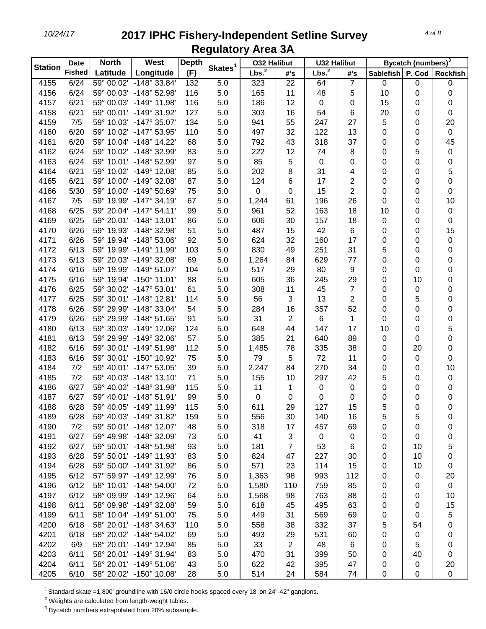| Lbs. <sup>2</sup><br>Lbs. <sup>2</sup><br><b>Fished</b><br>(F)<br>Latitude<br>Longitude<br>P. Cod<br>#'s<br><b>Sablefish</b><br><b>Rockfish</b><br>#'s<br>5.0<br>7<br>4155<br>6/24<br>59° 00.02' -148° 33.84'<br>132<br>22<br>0<br>323<br>64<br>0<br>0<br>4156<br>6/24<br>59° 00.03' -148° 52.98'<br>116<br>5.0<br>165<br>11<br>48<br>5<br>10<br>0<br>0<br>6/21<br>116<br>4157<br>59° 00.03' -149° 11.98'<br>5.0<br>186<br>12<br>$\pmb{0}$<br>15<br>0<br>0<br>0<br>127<br>16<br>4158<br>6/21<br>59° 00.01' -149° 31.92'<br>5.0<br>303<br>54<br>6<br>20<br>0<br>0<br>55<br>5<br>4159<br>7/5<br>$-147^{\circ}$ 35.07'<br>134<br>5.0<br>247<br>27<br>20<br>59° 10.03'<br>941<br>0<br>32<br>4160<br>6/20<br>59° 10.02' -147° 53.95'<br>110<br>5.0<br>497<br>122<br>13<br>0<br>$\,0\,$<br>0<br>318<br>37<br>45<br>4161<br>6/20<br>59° 10.04' -148° 14.22'<br>68<br>5.0<br>43<br>0<br>792<br>0<br>6/24<br>12<br>8<br>5<br>4162<br>59° 10.02' -148° 32.99'<br>83<br>5.0<br>222<br>74<br>0<br>0<br>5<br>4163<br>6/24<br>59° 10.01' -148° 52.99'<br>97<br>5.0<br>85<br>$\pmb{0}$<br>0<br>0<br>0<br>0<br>5<br>8<br>4164<br>6/21<br>59° 10.02' -149° 12.08'<br>85<br>5.0<br>202<br>31<br>4<br>0<br>0<br>6/21<br>$\overline{2}$<br>0<br>4165<br>59° 10.00' -149° 32.08'<br>87<br>5.0<br>124<br>6<br>17<br>0<br>0<br>5/30<br>$\overline{2}$<br>4166<br>59° 10.00' -149° 50.69'<br>75<br>5.0<br>$\pmb{0}$<br>0<br>15<br>0<br>0<br>0<br>26<br>10<br>4167<br>7/5<br>59° 19.99' -147° 34.19'<br>67<br>5.0<br>1,244<br>196<br>61<br>0<br>0<br>4168<br>6/25<br>59° 20.04' -147° 54.11'<br>99<br>5.0<br>961<br>52<br>163<br>18<br>10<br>0<br>0<br>4169<br>6/25<br>59° 20.01' -148° 13.01'<br>86<br>5.0<br>606<br>30<br>157<br>18<br>0<br>0<br>0<br>15<br>4170<br>6/26<br>59° 19.93' -148° 32.98'<br>51<br>5.0<br>487<br>15<br>42<br>6<br>0<br>0<br>17<br>4171<br>6/26<br>59° 19.94' -148° 53.06'<br>92<br>624<br>32<br>160<br>0<br>5.0<br>0<br>0<br>4172<br>6/13<br>59° 19.99'<br>-149° 11.99'<br>103<br>5.0<br>830<br>49<br>251<br>31<br>5<br>0<br>0<br>4173<br>6/13<br>59° 20.03'<br>$-149^{\circ}$ 32.08'<br>69<br>5.0<br>1,264<br>84<br>629<br>77<br>0<br>0<br>0<br>4174<br>6/16<br>59° 19.99'<br>$-149^{\circ}$ 51.07'<br>5.0<br>517<br>29<br>80<br>9<br>0<br>0<br>0<br>104<br>6/16<br>59° 19.94' -150° 11.01'<br>88<br>5.0<br>605<br>36<br>245<br>29<br>0<br>10<br>0<br>4175<br>4176<br>6/25<br>59° 30.02' -147° 53.01'<br>61<br>5.0<br>308<br>11<br>45<br>7<br>0<br>0<br>0<br>3<br>13<br>$\overline{\mathbf{c}}$<br>4177<br>6/25<br>59° 30.01' -148° 12.81'<br>114<br>5.0<br>56<br>5<br>0<br>0<br>6/26<br>52<br>4178<br>59° 29.99'<br>$-148^{\circ}$ 33.04'<br>5.0<br>284<br>16<br>357<br>0<br>0<br>0<br>54<br>$\overline{\mathbf{c}}$<br>4179<br>6/26<br>59° 29.99' -148° 51.65'<br>91<br>5.0<br>31<br>6<br>$\mathbf 1$<br>0<br>0<br>0<br>17<br>5<br>4180<br>6/13<br>59° 30.03' -149° 12.06'<br>124<br>5.0<br>648<br>44<br>147<br>10<br>0<br>89<br>0<br>4181<br>6/13<br>59° 29.99' -149° 32.06'<br>57<br>5.0<br>385<br>21<br>640<br>0<br>0<br>78<br>38<br>4182<br>6/16<br>59° 30.01' -149° 51.98'<br>112<br>1,485<br>335<br>20<br>0<br>5.0<br>0<br>4183<br>6/16<br>59° 30.01' -150° 10.92'<br>75<br>5.0<br>5<br>72<br>11<br>0<br>0<br>79<br>0<br>4184<br>7/2<br>39<br>2,247<br>84<br>270<br>34<br>10<br>59° 40.01' -147° 53.05'<br>5.0<br>0<br>0<br>4185<br>7/2<br>71<br>155<br>10<br>297<br>42<br>59° 40.03' -148° 13.10'<br>5.0<br>5<br>0<br>0<br>4186<br>6/27<br>59° 40.02' -148° 31.98'<br>115<br>11<br>5.0<br>1<br>$\pmb{0}$<br>0<br>0<br>0<br>0<br>4187<br>6/27<br>$\pmb{0}$<br>59° 40.01' -148° 51.91'<br>99<br>5.0<br>0<br>0<br>0<br>0<br>0<br>0<br>127<br>5<br>$\boldsymbol{0}$<br>4188<br>6/28<br>59° 40.05' -149° 11.99'<br>115<br>5.0<br>611<br>29<br>15<br>0<br>4189<br>6/28<br>59° 40.03' -149° 31.82'<br>159<br>5.0<br>30<br>140<br>5<br>5<br>556<br>16<br>0<br>4190<br>7/2<br>59° 50.01' -148° 12.07'<br>5.0<br>318<br>17<br>48<br>457<br>69<br>0<br>0<br>0<br>3<br>6/27<br>59° 49.98' -148° 32.09'<br>5.0<br>41<br>$\pmb{0}$<br>4191<br>73<br>0<br>0<br>0<br>0<br>$\overline{7}$<br>4192<br>6/27<br>59° 50.01' -148° 51.98'<br>5.0<br>53<br>5<br>93<br>181<br>6<br>0<br>10<br>4193<br>6/28<br>59° 50.01' -149° 11.93'<br>83<br>5.0<br>824<br>47<br>227<br>30<br>10<br>0<br>0<br>4194<br>6/28<br>59° 50.00' -149° 31.92'<br>5.0<br>571<br>23<br>114<br>15<br>10<br>86<br>$\pmb{0}$<br>0<br>4195<br>6/12<br>57° 59.97' -149° 12.99'<br>5.0<br>98<br>993<br>112<br>76<br>1,363<br>0<br>0<br>20<br>4196<br>6/12<br>58° 10.01' -148° 54.00'<br>5.0<br>85<br>$\mathbf 0$<br>72<br>1,580<br>110<br>759<br>0<br>0<br>4197<br>6/12<br>58° 09.99' -149° 12.96'<br>1,568<br>98<br>763<br>88<br>10<br>64<br>5.0<br>0<br>0<br>6/11<br>58° 09.98' -149° 32.08'<br>63<br>15<br>4198<br>59<br>5.0<br>618<br>45<br>495<br>0<br>0<br>6/11<br>31<br>5<br>4199<br>58° 10.04' -149° 51.00'<br>75<br>5.0<br>449<br>569<br>69<br>0<br>0<br>6/18<br>4200<br>58° 20.01' -148° 34.63'<br>110<br>5.0<br>558<br>38<br>332<br>37<br>5<br>54<br>0<br>4201<br>6/18<br>58° 20.02' -148° 54.02'<br>69<br>5.0<br>493<br>29<br>531<br>0<br>60<br>0<br>0<br>4202<br>6/9<br>$\overline{2}$<br>58° 20.01' -149° 12.94'<br>85<br>5.0<br>33<br>48<br>6<br>5<br>0<br>0<br>4203<br>6/11<br>58° 20.01' -149° 31.94'<br>5.0<br>470<br>31<br>399<br>40<br>83<br>50<br>0<br>0<br>4204<br>6/11<br>58° 20.01' -149° 51.06'<br>43<br>5.0<br>622<br>42<br>395<br>47<br>0<br>20<br>0<br>58° 20.02' -150° 10.08' |                | <b>Date</b> | <b>North</b> | <b>West</b> | <b>Depth</b> |                     | <b>032 Halibut</b> |    | <b>U32 Halibut</b> |    |   | Bycatch (numbers) <sup>3</sup> |           |
|-------------------------------------------------------------------------------------------------------------------------------------------------------------------------------------------------------------------------------------------------------------------------------------------------------------------------------------------------------------------------------------------------------------------------------------------------------------------------------------------------------------------------------------------------------------------------------------------------------------------------------------------------------------------------------------------------------------------------------------------------------------------------------------------------------------------------------------------------------------------------------------------------------------------------------------------------------------------------------------------------------------------------------------------------------------------------------------------------------------------------------------------------------------------------------------------------------------------------------------------------------------------------------------------------------------------------------------------------------------------------------------------------------------------------------------------------------------------------------------------------------------------------------------------------------------------------------------------------------------------------------------------------------------------------------------------------------------------------------------------------------------------------------------------------------------------------------------------------------------------------------------------------------------------------------------------------------------------------------------------------------------------------------------------------------------------------------------------------------------------------------------------------------------------------------------------------------------------------------------------------------------------------------------------------------------------------------------------------------------------------------------------------------------------------------------------------------------------------------------------------------------------------------------------------------------------------------------------------------------------------------------------------------------------------------------------------------------------------------------------------------------------------------------------------------------------------------------------------------------------------------------------------------------------------------------------------------------------------------------------------------------------------------------------------------------------------------------------------------------------------------------------------------------------------------------------------------------------------------------------------------------------------------------------------------------------------------------------------------------------------------------------------------------------------------------------------------------------------------------------------------------------------------------------------------------------------------------------------------------------------------------------------------------------------------------------------------------------------------------------------------------------------------------------------------------------------------------------------------------------------------------------------------------------------------------------------------------------------------------------------------------------------------------------------------------------------------------------------------------------------------------------------------------------------------------------------------------------------------------------------------------------------------------------------------------------------------------------------------------------------------------------------------------------------------------------------------------------------------------------------------------------------------------------------------------------------------------------------------------------------------------------------------------------------------------------------------------------------------------------------------------------------------------------------------------------------------------------------------------------------------------------------------------------------------------------------------------------------------------------------------------------------------------------------------------------------------------------------------------------------------------------------------------------------------------------------------------------------------------------------------------------------------------------------------------------------------------------------------------------------------------------------------------------------------------------------------------------|----------------|-------------|--------------|-------------|--------------|---------------------|--------------------|----|--------------------|----|---|--------------------------------|-----------|
|                                                                                                                                                                                                                                                                                                                                                                                                                                                                                                                                                                                                                                                                                                                                                                                                                                                                                                                                                                                                                                                                                                                                                                                                                                                                                                                                                                                                                                                                                                                                                                                                                                                                                                                                                                                                                                                                                                                                                                                                                                                                                                                                                                                                                                                                                                                                                                                                                                                                                                                                                                                                                                                                                                                                                                                                                                                                                                                                                                                                                                                                                                                                                                                                                                                                                                                                                                                                                                                                                                                                                                                                                                                                                                                                                                                                                                                                                                                                                                                                                                                                                                                                                                                                                                                                                                                                                                                                                                                                                                                                                                                                                                                                                                                                                                                                                                                                                                                                                                                                                                                                                                                                                                                                                                                                                                                                                                                                                                                                   | <b>Station</b> |             |              |             |              | Skates <sup>1</sup> |                    |    |                    |    |   |                                |           |
|                                                                                                                                                                                                                                                                                                                                                                                                                                                                                                                                                                                                                                                                                                                                                                                                                                                                                                                                                                                                                                                                                                                                                                                                                                                                                                                                                                                                                                                                                                                                                                                                                                                                                                                                                                                                                                                                                                                                                                                                                                                                                                                                                                                                                                                                                                                                                                                                                                                                                                                                                                                                                                                                                                                                                                                                                                                                                                                                                                                                                                                                                                                                                                                                                                                                                                                                                                                                                                                                                                                                                                                                                                                                                                                                                                                                                                                                                                                                                                                                                                                                                                                                                                                                                                                                                                                                                                                                                                                                                                                                                                                                                                                                                                                                                                                                                                                                                                                                                                                                                                                                                                                                                                                                                                                                                                                                                                                                                                                                   |                |             |              |             |              |                     |                    |    |                    |    |   |                                |           |
|                                                                                                                                                                                                                                                                                                                                                                                                                                                                                                                                                                                                                                                                                                                                                                                                                                                                                                                                                                                                                                                                                                                                                                                                                                                                                                                                                                                                                                                                                                                                                                                                                                                                                                                                                                                                                                                                                                                                                                                                                                                                                                                                                                                                                                                                                                                                                                                                                                                                                                                                                                                                                                                                                                                                                                                                                                                                                                                                                                                                                                                                                                                                                                                                                                                                                                                                                                                                                                                                                                                                                                                                                                                                                                                                                                                                                                                                                                                                                                                                                                                                                                                                                                                                                                                                                                                                                                                                                                                                                                                                                                                                                                                                                                                                                                                                                                                                                                                                                                                                                                                                                                                                                                                                                                                                                                                                                                                                                                                                   |                |             |              |             |              |                     |                    |    |                    |    |   |                                |           |
|                                                                                                                                                                                                                                                                                                                                                                                                                                                                                                                                                                                                                                                                                                                                                                                                                                                                                                                                                                                                                                                                                                                                                                                                                                                                                                                                                                                                                                                                                                                                                                                                                                                                                                                                                                                                                                                                                                                                                                                                                                                                                                                                                                                                                                                                                                                                                                                                                                                                                                                                                                                                                                                                                                                                                                                                                                                                                                                                                                                                                                                                                                                                                                                                                                                                                                                                                                                                                                                                                                                                                                                                                                                                                                                                                                                                                                                                                                                                                                                                                                                                                                                                                                                                                                                                                                                                                                                                                                                                                                                                                                                                                                                                                                                                                                                                                                                                                                                                                                                                                                                                                                                                                                                                                                                                                                                                                                                                                                                                   |                |             |              |             |              |                     |                    |    |                    |    |   |                                |           |
|                                                                                                                                                                                                                                                                                                                                                                                                                                                                                                                                                                                                                                                                                                                                                                                                                                                                                                                                                                                                                                                                                                                                                                                                                                                                                                                                                                                                                                                                                                                                                                                                                                                                                                                                                                                                                                                                                                                                                                                                                                                                                                                                                                                                                                                                                                                                                                                                                                                                                                                                                                                                                                                                                                                                                                                                                                                                                                                                                                                                                                                                                                                                                                                                                                                                                                                                                                                                                                                                                                                                                                                                                                                                                                                                                                                                                                                                                                                                                                                                                                                                                                                                                                                                                                                                                                                                                                                                                                                                                                                                                                                                                                                                                                                                                                                                                                                                                                                                                                                                                                                                                                                                                                                                                                                                                                                                                                                                                                                                   |                |             |              |             |              |                     |                    |    |                    |    |   |                                |           |
|                                                                                                                                                                                                                                                                                                                                                                                                                                                                                                                                                                                                                                                                                                                                                                                                                                                                                                                                                                                                                                                                                                                                                                                                                                                                                                                                                                                                                                                                                                                                                                                                                                                                                                                                                                                                                                                                                                                                                                                                                                                                                                                                                                                                                                                                                                                                                                                                                                                                                                                                                                                                                                                                                                                                                                                                                                                                                                                                                                                                                                                                                                                                                                                                                                                                                                                                                                                                                                                                                                                                                                                                                                                                                                                                                                                                                                                                                                                                                                                                                                                                                                                                                                                                                                                                                                                                                                                                                                                                                                                                                                                                                                                                                                                                                                                                                                                                                                                                                                                                                                                                                                                                                                                                                                                                                                                                                                                                                                                                   |                |             |              |             |              |                     |                    |    |                    |    |   |                                |           |
|                                                                                                                                                                                                                                                                                                                                                                                                                                                                                                                                                                                                                                                                                                                                                                                                                                                                                                                                                                                                                                                                                                                                                                                                                                                                                                                                                                                                                                                                                                                                                                                                                                                                                                                                                                                                                                                                                                                                                                                                                                                                                                                                                                                                                                                                                                                                                                                                                                                                                                                                                                                                                                                                                                                                                                                                                                                                                                                                                                                                                                                                                                                                                                                                                                                                                                                                                                                                                                                                                                                                                                                                                                                                                                                                                                                                                                                                                                                                                                                                                                                                                                                                                                                                                                                                                                                                                                                                                                                                                                                                                                                                                                                                                                                                                                                                                                                                                                                                                                                                                                                                                                                                                                                                                                                                                                                                                                                                                                                                   |                |             |              |             |              |                     |                    |    |                    |    |   |                                |           |
|                                                                                                                                                                                                                                                                                                                                                                                                                                                                                                                                                                                                                                                                                                                                                                                                                                                                                                                                                                                                                                                                                                                                                                                                                                                                                                                                                                                                                                                                                                                                                                                                                                                                                                                                                                                                                                                                                                                                                                                                                                                                                                                                                                                                                                                                                                                                                                                                                                                                                                                                                                                                                                                                                                                                                                                                                                                                                                                                                                                                                                                                                                                                                                                                                                                                                                                                                                                                                                                                                                                                                                                                                                                                                                                                                                                                                                                                                                                                                                                                                                                                                                                                                                                                                                                                                                                                                                                                                                                                                                                                                                                                                                                                                                                                                                                                                                                                                                                                                                                                                                                                                                                                                                                                                                                                                                                                                                                                                                                                   |                |             |              |             |              |                     |                    |    |                    |    |   |                                |           |
|                                                                                                                                                                                                                                                                                                                                                                                                                                                                                                                                                                                                                                                                                                                                                                                                                                                                                                                                                                                                                                                                                                                                                                                                                                                                                                                                                                                                                                                                                                                                                                                                                                                                                                                                                                                                                                                                                                                                                                                                                                                                                                                                                                                                                                                                                                                                                                                                                                                                                                                                                                                                                                                                                                                                                                                                                                                                                                                                                                                                                                                                                                                                                                                                                                                                                                                                                                                                                                                                                                                                                                                                                                                                                                                                                                                                                                                                                                                                                                                                                                                                                                                                                                                                                                                                                                                                                                                                                                                                                                                                                                                                                                                                                                                                                                                                                                                                                                                                                                                                                                                                                                                                                                                                                                                                                                                                                                                                                                                                   |                |             |              |             |              |                     |                    |    |                    |    |   |                                |           |
|                                                                                                                                                                                                                                                                                                                                                                                                                                                                                                                                                                                                                                                                                                                                                                                                                                                                                                                                                                                                                                                                                                                                                                                                                                                                                                                                                                                                                                                                                                                                                                                                                                                                                                                                                                                                                                                                                                                                                                                                                                                                                                                                                                                                                                                                                                                                                                                                                                                                                                                                                                                                                                                                                                                                                                                                                                                                                                                                                                                                                                                                                                                                                                                                                                                                                                                                                                                                                                                                                                                                                                                                                                                                                                                                                                                                                                                                                                                                                                                                                                                                                                                                                                                                                                                                                                                                                                                                                                                                                                                                                                                                                                                                                                                                                                                                                                                                                                                                                                                                                                                                                                                                                                                                                                                                                                                                                                                                                                                                   |                |             |              |             |              |                     |                    |    |                    |    |   |                                |           |
|                                                                                                                                                                                                                                                                                                                                                                                                                                                                                                                                                                                                                                                                                                                                                                                                                                                                                                                                                                                                                                                                                                                                                                                                                                                                                                                                                                                                                                                                                                                                                                                                                                                                                                                                                                                                                                                                                                                                                                                                                                                                                                                                                                                                                                                                                                                                                                                                                                                                                                                                                                                                                                                                                                                                                                                                                                                                                                                                                                                                                                                                                                                                                                                                                                                                                                                                                                                                                                                                                                                                                                                                                                                                                                                                                                                                                                                                                                                                                                                                                                                                                                                                                                                                                                                                                                                                                                                                                                                                                                                                                                                                                                                                                                                                                                                                                                                                                                                                                                                                                                                                                                                                                                                                                                                                                                                                                                                                                                                                   |                |             |              |             |              |                     |                    |    |                    |    |   |                                |           |
|                                                                                                                                                                                                                                                                                                                                                                                                                                                                                                                                                                                                                                                                                                                                                                                                                                                                                                                                                                                                                                                                                                                                                                                                                                                                                                                                                                                                                                                                                                                                                                                                                                                                                                                                                                                                                                                                                                                                                                                                                                                                                                                                                                                                                                                                                                                                                                                                                                                                                                                                                                                                                                                                                                                                                                                                                                                                                                                                                                                                                                                                                                                                                                                                                                                                                                                                                                                                                                                                                                                                                                                                                                                                                                                                                                                                                                                                                                                                                                                                                                                                                                                                                                                                                                                                                                                                                                                                                                                                                                                                                                                                                                                                                                                                                                                                                                                                                                                                                                                                                                                                                                                                                                                                                                                                                                                                                                                                                                                                   |                |             |              |             |              |                     |                    |    |                    |    |   |                                |           |
|                                                                                                                                                                                                                                                                                                                                                                                                                                                                                                                                                                                                                                                                                                                                                                                                                                                                                                                                                                                                                                                                                                                                                                                                                                                                                                                                                                                                                                                                                                                                                                                                                                                                                                                                                                                                                                                                                                                                                                                                                                                                                                                                                                                                                                                                                                                                                                                                                                                                                                                                                                                                                                                                                                                                                                                                                                                                                                                                                                                                                                                                                                                                                                                                                                                                                                                                                                                                                                                                                                                                                                                                                                                                                                                                                                                                                                                                                                                                                                                                                                                                                                                                                                                                                                                                                                                                                                                                                                                                                                                                                                                                                                                                                                                                                                                                                                                                                                                                                                                                                                                                                                                                                                                                                                                                                                                                                                                                                                                                   |                |             |              |             |              |                     |                    |    |                    |    |   |                                |           |
|                                                                                                                                                                                                                                                                                                                                                                                                                                                                                                                                                                                                                                                                                                                                                                                                                                                                                                                                                                                                                                                                                                                                                                                                                                                                                                                                                                                                                                                                                                                                                                                                                                                                                                                                                                                                                                                                                                                                                                                                                                                                                                                                                                                                                                                                                                                                                                                                                                                                                                                                                                                                                                                                                                                                                                                                                                                                                                                                                                                                                                                                                                                                                                                                                                                                                                                                                                                                                                                                                                                                                                                                                                                                                                                                                                                                                                                                                                                                                                                                                                                                                                                                                                                                                                                                                                                                                                                                                                                                                                                                                                                                                                                                                                                                                                                                                                                                                                                                                                                                                                                                                                                                                                                                                                                                                                                                                                                                                                                                   |                |             |              |             |              |                     |                    |    |                    |    |   |                                |           |
|                                                                                                                                                                                                                                                                                                                                                                                                                                                                                                                                                                                                                                                                                                                                                                                                                                                                                                                                                                                                                                                                                                                                                                                                                                                                                                                                                                                                                                                                                                                                                                                                                                                                                                                                                                                                                                                                                                                                                                                                                                                                                                                                                                                                                                                                                                                                                                                                                                                                                                                                                                                                                                                                                                                                                                                                                                                                                                                                                                                                                                                                                                                                                                                                                                                                                                                                                                                                                                                                                                                                                                                                                                                                                                                                                                                                                                                                                                                                                                                                                                                                                                                                                                                                                                                                                                                                                                                                                                                                                                                                                                                                                                                                                                                                                                                                                                                                                                                                                                                                                                                                                                                                                                                                                                                                                                                                                                                                                                                                   |                |             |              |             |              |                     |                    |    |                    |    |   |                                |           |
|                                                                                                                                                                                                                                                                                                                                                                                                                                                                                                                                                                                                                                                                                                                                                                                                                                                                                                                                                                                                                                                                                                                                                                                                                                                                                                                                                                                                                                                                                                                                                                                                                                                                                                                                                                                                                                                                                                                                                                                                                                                                                                                                                                                                                                                                                                                                                                                                                                                                                                                                                                                                                                                                                                                                                                                                                                                                                                                                                                                                                                                                                                                                                                                                                                                                                                                                                                                                                                                                                                                                                                                                                                                                                                                                                                                                                                                                                                                                                                                                                                                                                                                                                                                                                                                                                                                                                                                                                                                                                                                                                                                                                                                                                                                                                                                                                                                                                                                                                                                                                                                                                                                                                                                                                                                                                                                                                                                                                                                                   |                |             |              |             |              |                     |                    |    |                    |    |   |                                |           |
|                                                                                                                                                                                                                                                                                                                                                                                                                                                                                                                                                                                                                                                                                                                                                                                                                                                                                                                                                                                                                                                                                                                                                                                                                                                                                                                                                                                                                                                                                                                                                                                                                                                                                                                                                                                                                                                                                                                                                                                                                                                                                                                                                                                                                                                                                                                                                                                                                                                                                                                                                                                                                                                                                                                                                                                                                                                                                                                                                                                                                                                                                                                                                                                                                                                                                                                                                                                                                                                                                                                                                                                                                                                                                                                                                                                                                                                                                                                                                                                                                                                                                                                                                                                                                                                                                                                                                                                                                                                                                                                                                                                                                                                                                                                                                                                                                                                                                                                                                                                                                                                                                                                                                                                                                                                                                                                                                                                                                                                                   |                |             |              |             |              |                     |                    |    |                    |    |   |                                |           |
|                                                                                                                                                                                                                                                                                                                                                                                                                                                                                                                                                                                                                                                                                                                                                                                                                                                                                                                                                                                                                                                                                                                                                                                                                                                                                                                                                                                                                                                                                                                                                                                                                                                                                                                                                                                                                                                                                                                                                                                                                                                                                                                                                                                                                                                                                                                                                                                                                                                                                                                                                                                                                                                                                                                                                                                                                                                                                                                                                                                                                                                                                                                                                                                                                                                                                                                                                                                                                                                                                                                                                                                                                                                                                                                                                                                                                                                                                                                                                                                                                                                                                                                                                                                                                                                                                                                                                                                                                                                                                                                                                                                                                                                                                                                                                                                                                                                                                                                                                                                                                                                                                                                                                                                                                                                                                                                                                                                                                                                                   |                |             |              |             |              |                     |                    |    |                    |    |   |                                |           |
|                                                                                                                                                                                                                                                                                                                                                                                                                                                                                                                                                                                                                                                                                                                                                                                                                                                                                                                                                                                                                                                                                                                                                                                                                                                                                                                                                                                                                                                                                                                                                                                                                                                                                                                                                                                                                                                                                                                                                                                                                                                                                                                                                                                                                                                                                                                                                                                                                                                                                                                                                                                                                                                                                                                                                                                                                                                                                                                                                                                                                                                                                                                                                                                                                                                                                                                                                                                                                                                                                                                                                                                                                                                                                                                                                                                                                                                                                                                                                                                                                                                                                                                                                                                                                                                                                                                                                                                                                                                                                                                                                                                                                                                                                                                                                                                                                                                                                                                                                                                                                                                                                                                                                                                                                                                                                                                                                                                                                                                                   |                |             |              |             |              |                     |                    |    |                    |    |   |                                |           |
|                                                                                                                                                                                                                                                                                                                                                                                                                                                                                                                                                                                                                                                                                                                                                                                                                                                                                                                                                                                                                                                                                                                                                                                                                                                                                                                                                                                                                                                                                                                                                                                                                                                                                                                                                                                                                                                                                                                                                                                                                                                                                                                                                                                                                                                                                                                                                                                                                                                                                                                                                                                                                                                                                                                                                                                                                                                                                                                                                                                                                                                                                                                                                                                                                                                                                                                                                                                                                                                                                                                                                                                                                                                                                                                                                                                                                                                                                                                                                                                                                                                                                                                                                                                                                                                                                                                                                                                                                                                                                                                                                                                                                                                                                                                                                                                                                                                                                                                                                                                                                                                                                                                                                                                                                                                                                                                                                                                                                                                                   |                |             |              |             |              |                     |                    |    |                    |    |   |                                |           |
|                                                                                                                                                                                                                                                                                                                                                                                                                                                                                                                                                                                                                                                                                                                                                                                                                                                                                                                                                                                                                                                                                                                                                                                                                                                                                                                                                                                                                                                                                                                                                                                                                                                                                                                                                                                                                                                                                                                                                                                                                                                                                                                                                                                                                                                                                                                                                                                                                                                                                                                                                                                                                                                                                                                                                                                                                                                                                                                                                                                                                                                                                                                                                                                                                                                                                                                                                                                                                                                                                                                                                                                                                                                                                                                                                                                                                                                                                                                                                                                                                                                                                                                                                                                                                                                                                                                                                                                                                                                                                                                                                                                                                                                                                                                                                                                                                                                                                                                                                                                                                                                                                                                                                                                                                                                                                                                                                                                                                                                                   |                |             |              |             |              |                     |                    |    |                    |    |   |                                |           |
|                                                                                                                                                                                                                                                                                                                                                                                                                                                                                                                                                                                                                                                                                                                                                                                                                                                                                                                                                                                                                                                                                                                                                                                                                                                                                                                                                                                                                                                                                                                                                                                                                                                                                                                                                                                                                                                                                                                                                                                                                                                                                                                                                                                                                                                                                                                                                                                                                                                                                                                                                                                                                                                                                                                                                                                                                                                                                                                                                                                                                                                                                                                                                                                                                                                                                                                                                                                                                                                                                                                                                                                                                                                                                                                                                                                                                                                                                                                                                                                                                                                                                                                                                                                                                                                                                                                                                                                                                                                                                                                                                                                                                                                                                                                                                                                                                                                                                                                                                                                                                                                                                                                                                                                                                                                                                                                                                                                                                                                                   |                |             |              |             |              |                     |                    |    |                    |    |   |                                |           |
|                                                                                                                                                                                                                                                                                                                                                                                                                                                                                                                                                                                                                                                                                                                                                                                                                                                                                                                                                                                                                                                                                                                                                                                                                                                                                                                                                                                                                                                                                                                                                                                                                                                                                                                                                                                                                                                                                                                                                                                                                                                                                                                                                                                                                                                                                                                                                                                                                                                                                                                                                                                                                                                                                                                                                                                                                                                                                                                                                                                                                                                                                                                                                                                                                                                                                                                                                                                                                                                                                                                                                                                                                                                                                                                                                                                                                                                                                                                                                                                                                                                                                                                                                                                                                                                                                                                                                                                                                                                                                                                                                                                                                                                                                                                                                                                                                                                                                                                                                                                                                                                                                                                                                                                                                                                                                                                                                                                                                                                                   |                |             |              |             |              |                     |                    |    |                    |    |   |                                |           |
|                                                                                                                                                                                                                                                                                                                                                                                                                                                                                                                                                                                                                                                                                                                                                                                                                                                                                                                                                                                                                                                                                                                                                                                                                                                                                                                                                                                                                                                                                                                                                                                                                                                                                                                                                                                                                                                                                                                                                                                                                                                                                                                                                                                                                                                                                                                                                                                                                                                                                                                                                                                                                                                                                                                                                                                                                                                                                                                                                                                                                                                                                                                                                                                                                                                                                                                                                                                                                                                                                                                                                                                                                                                                                                                                                                                                                                                                                                                                                                                                                                                                                                                                                                                                                                                                                                                                                                                                                                                                                                                                                                                                                                                                                                                                                                                                                                                                                                                                                                                                                                                                                                                                                                                                                                                                                                                                                                                                                                                                   |                |             |              |             |              |                     |                    |    |                    |    |   |                                |           |
|                                                                                                                                                                                                                                                                                                                                                                                                                                                                                                                                                                                                                                                                                                                                                                                                                                                                                                                                                                                                                                                                                                                                                                                                                                                                                                                                                                                                                                                                                                                                                                                                                                                                                                                                                                                                                                                                                                                                                                                                                                                                                                                                                                                                                                                                                                                                                                                                                                                                                                                                                                                                                                                                                                                                                                                                                                                                                                                                                                                                                                                                                                                                                                                                                                                                                                                                                                                                                                                                                                                                                                                                                                                                                                                                                                                                                                                                                                                                                                                                                                                                                                                                                                                                                                                                                                                                                                                                                                                                                                                                                                                                                                                                                                                                                                                                                                                                                                                                                                                                                                                                                                                                                                                                                                                                                                                                                                                                                                                                   |                |             |              |             |              |                     |                    |    |                    |    |   |                                |           |
|                                                                                                                                                                                                                                                                                                                                                                                                                                                                                                                                                                                                                                                                                                                                                                                                                                                                                                                                                                                                                                                                                                                                                                                                                                                                                                                                                                                                                                                                                                                                                                                                                                                                                                                                                                                                                                                                                                                                                                                                                                                                                                                                                                                                                                                                                                                                                                                                                                                                                                                                                                                                                                                                                                                                                                                                                                                                                                                                                                                                                                                                                                                                                                                                                                                                                                                                                                                                                                                                                                                                                                                                                                                                                                                                                                                                                                                                                                                                                                                                                                                                                                                                                                                                                                                                                                                                                                                                                                                                                                                                                                                                                                                                                                                                                                                                                                                                                                                                                                                                                                                                                                                                                                                                                                                                                                                                                                                                                                                                   |                |             |              |             |              |                     |                    |    |                    |    |   |                                |           |
|                                                                                                                                                                                                                                                                                                                                                                                                                                                                                                                                                                                                                                                                                                                                                                                                                                                                                                                                                                                                                                                                                                                                                                                                                                                                                                                                                                                                                                                                                                                                                                                                                                                                                                                                                                                                                                                                                                                                                                                                                                                                                                                                                                                                                                                                                                                                                                                                                                                                                                                                                                                                                                                                                                                                                                                                                                                                                                                                                                                                                                                                                                                                                                                                                                                                                                                                                                                                                                                                                                                                                                                                                                                                                                                                                                                                                                                                                                                                                                                                                                                                                                                                                                                                                                                                                                                                                                                                                                                                                                                                                                                                                                                                                                                                                                                                                                                                                                                                                                                                                                                                                                                                                                                                                                                                                                                                                                                                                                                                   |                |             |              |             |              |                     |                    |    |                    |    |   |                                |           |
|                                                                                                                                                                                                                                                                                                                                                                                                                                                                                                                                                                                                                                                                                                                                                                                                                                                                                                                                                                                                                                                                                                                                                                                                                                                                                                                                                                                                                                                                                                                                                                                                                                                                                                                                                                                                                                                                                                                                                                                                                                                                                                                                                                                                                                                                                                                                                                                                                                                                                                                                                                                                                                                                                                                                                                                                                                                                                                                                                                                                                                                                                                                                                                                                                                                                                                                                                                                                                                                                                                                                                                                                                                                                                                                                                                                                                                                                                                                                                                                                                                                                                                                                                                                                                                                                                                                                                                                                                                                                                                                                                                                                                                                                                                                                                                                                                                                                                                                                                                                                                                                                                                                                                                                                                                                                                                                                                                                                                                                                   |                |             |              |             |              |                     |                    |    |                    |    |   |                                |           |
|                                                                                                                                                                                                                                                                                                                                                                                                                                                                                                                                                                                                                                                                                                                                                                                                                                                                                                                                                                                                                                                                                                                                                                                                                                                                                                                                                                                                                                                                                                                                                                                                                                                                                                                                                                                                                                                                                                                                                                                                                                                                                                                                                                                                                                                                                                                                                                                                                                                                                                                                                                                                                                                                                                                                                                                                                                                                                                                                                                                                                                                                                                                                                                                                                                                                                                                                                                                                                                                                                                                                                                                                                                                                                                                                                                                                                                                                                                                                                                                                                                                                                                                                                                                                                                                                                                                                                                                                                                                                                                                                                                                                                                                                                                                                                                                                                                                                                                                                                                                                                                                                                                                                                                                                                                                                                                                                                                                                                                                                   |                |             |              |             |              |                     |                    |    |                    |    |   |                                |           |
|                                                                                                                                                                                                                                                                                                                                                                                                                                                                                                                                                                                                                                                                                                                                                                                                                                                                                                                                                                                                                                                                                                                                                                                                                                                                                                                                                                                                                                                                                                                                                                                                                                                                                                                                                                                                                                                                                                                                                                                                                                                                                                                                                                                                                                                                                                                                                                                                                                                                                                                                                                                                                                                                                                                                                                                                                                                                                                                                                                                                                                                                                                                                                                                                                                                                                                                                                                                                                                                                                                                                                                                                                                                                                                                                                                                                                                                                                                                                                                                                                                                                                                                                                                                                                                                                                                                                                                                                                                                                                                                                                                                                                                                                                                                                                                                                                                                                                                                                                                                                                                                                                                                                                                                                                                                                                                                                                                                                                                                                   |                |             |              |             |              |                     |                    |    |                    |    |   |                                |           |
|                                                                                                                                                                                                                                                                                                                                                                                                                                                                                                                                                                                                                                                                                                                                                                                                                                                                                                                                                                                                                                                                                                                                                                                                                                                                                                                                                                                                                                                                                                                                                                                                                                                                                                                                                                                                                                                                                                                                                                                                                                                                                                                                                                                                                                                                                                                                                                                                                                                                                                                                                                                                                                                                                                                                                                                                                                                                                                                                                                                                                                                                                                                                                                                                                                                                                                                                                                                                                                                                                                                                                                                                                                                                                                                                                                                                                                                                                                                                                                                                                                                                                                                                                                                                                                                                                                                                                                                                                                                                                                                                                                                                                                                                                                                                                                                                                                                                                                                                                                                                                                                                                                                                                                                                                                                                                                                                                                                                                                                                   |                |             |              |             |              |                     |                    |    |                    |    |   |                                |           |
|                                                                                                                                                                                                                                                                                                                                                                                                                                                                                                                                                                                                                                                                                                                                                                                                                                                                                                                                                                                                                                                                                                                                                                                                                                                                                                                                                                                                                                                                                                                                                                                                                                                                                                                                                                                                                                                                                                                                                                                                                                                                                                                                                                                                                                                                                                                                                                                                                                                                                                                                                                                                                                                                                                                                                                                                                                                                                                                                                                                                                                                                                                                                                                                                                                                                                                                                                                                                                                                                                                                                                                                                                                                                                                                                                                                                                                                                                                                                                                                                                                                                                                                                                                                                                                                                                                                                                                                                                                                                                                                                                                                                                                                                                                                                                                                                                                                                                                                                                                                                                                                                                                                                                                                                                                                                                                                                                                                                                                                                   |                |             |              |             |              |                     |                    |    |                    |    |   |                                |           |
|                                                                                                                                                                                                                                                                                                                                                                                                                                                                                                                                                                                                                                                                                                                                                                                                                                                                                                                                                                                                                                                                                                                                                                                                                                                                                                                                                                                                                                                                                                                                                                                                                                                                                                                                                                                                                                                                                                                                                                                                                                                                                                                                                                                                                                                                                                                                                                                                                                                                                                                                                                                                                                                                                                                                                                                                                                                                                                                                                                                                                                                                                                                                                                                                                                                                                                                                                                                                                                                                                                                                                                                                                                                                                                                                                                                                                                                                                                                                                                                                                                                                                                                                                                                                                                                                                                                                                                                                                                                                                                                                                                                                                                                                                                                                                                                                                                                                                                                                                                                                                                                                                                                                                                                                                                                                                                                                                                                                                                                                   |                |             |              |             |              |                     |                    |    |                    |    |   |                                |           |
|                                                                                                                                                                                                                                                                                                                                                                                                                                                                                                                                                                                                                                                                                                                                                                                                                                                                                                                                                                                                                                                                                                                                                                                                                                                                                                                                                                                                                                                                                                                                                                                                                                                                                                                                                                                                                                                                                                                                                                                                                                                                                                                                                                                                                                                                                                                                                                                                                                                                                                                                                                                                                                                                                                                                                                                                                                                                                                                                                                                                                                                                                                                                                                                                                                                                                                                                                                                                                                                                                                                                                                                                                                                                                                                                                                                                                                                                                                                                                                                                                                                                                                                                                                                                                                                                                                                                                                                                                                                                                                                                                                                                                                                                                                                                                                                                                                                                                                                                                                                                                                                                                                                                                                                                                                                                                                                                                                                                                                                                   |                |             |              |             |              |                     |                    |    |                    |    |   |                                |           |
|                                                                                                                                                                                                                                                                                                                                                                                                                                                                                                                                                                                                                                                                                                                                                                                                                                                                                                                                                                                                                                                                                                                                                                                                                                                                                                                                                                                                                                                                                                                                                                                                                                                                                                                                                                                                                                                                                                                                                                                                                                                                                                                                                                                                                                                                                                                                                                                                                                                                                                                                                                                                                                                                                                                                                                                                                                                                                                                                                                                                                                                                                                                                                                                                                                                                                                                                                                                                                                                                                                                                                                                                                                                                                                                                                                                                                                                                                                                                                                                                                                                                                                                                                                                                                                                                                                                                                                                                                                                                                                                                                                                                                                                                                                                                                                                                                                                                                                                                                                                                                                                                                                                                                                                                                                                                                                                                                                                                                                                                   |                |             |              |             |              |                     |                    |    |                    |    |   |                                |           |
|                                                                                                                                                                                                                                                                                                                                                                                                                                                                                                                                                                                                                                                                                                                                                                                                                                                                                                                                                                                                                                                                                                                                                                                                                                                                                                                                                                                                                                                                                                                                                                                                                                                                                                                                                                                                                                                                                                                                                                                                                                                                                                                                                                                                                                                                                                                                                                                                                                                                                                                                                                                                                                                                                                                                                                                                                                                                                                                                                                                                                                                                                                                                                                                                                                                                                                                                                                                                                                                                                                                                                                                                                                                                                                                                                                                                                                                                                                                                                                                                                                                                                                                                                                                                                                                                                                                                                                                                                                                                                                                                                                                                                                                                                                                                                                                                                                                                                                                                                                                                                                                                                                                                                                                                                                                                                                                                                                                                                                                                   |                |             |              |             |              |                     |                    |    |                    |    |   |                                |           |
|                                                                                                                                                                                                                                                                                                                                                                                                                                                                                                                                                                                                                                                                                                                                                                                                                                                                                                                                                                                                                                                                                                                                                                                                                                                                                                                                                                                                                                                                                                                                                                                                                                                                                                                                                                                                                                                                                                                                                                                                                                                                                                                                                                                                                                                                                                                                                                                                                                                                                                                                                                                                                                                                                                                                                                                                                                                                                                                                                                                                                                                                                                                                                                                                                                                                                                                                                                                                                                                                                                                                                                                                                                                                                                                                                                                                                                                                                                                                                                                                                                                                                                                                                                                                                                                                                                                                                                                                                                                                                                                                                                                                                                                                                                                                                                                                                                                                                                                                                                                                                                                                                                                                                                                                                                                                                                                                                                                                                                                                   |                |             |              |             |              |                     |                    |    |                    |    |   |                                |           |
|                                                                                                                                                                                                                                                                                                                                                                                                                                                                                                                                                                                                                                                                                                                                                                                                                                                                                                                                                                                                                                                                                                                                                                                                                                                                                                                                                                                                                                                                                                                                                                                                                                                                                                                                                                                                                                                                                                                                                                                                                                                                                                                                                                                                                                                                                                                                                                                                                                                                                                                                                                                                                                                                                                                                                                                                                                                                                                                                                                                                                                                                                                                                                                                                                                                                                                                                                                                                                                                                                                                                                                                                                                                                                                                                                                                                                                                                                                                                                                                                                                                                                                                                                                                                                                                                                                                                                                                                                                                                                                                                                                                                                                                                                                                                                                                                                                                                                                                                                                                                                                                                                                                                                                                                                                                                                                                                                                                                                                                                   |                |             |              |             |              |                     |                    |    |                    |    |   |                                |           |
|                                                                                                                                                                                                                                                                                                                                                                                                                                                                                                                                                                                                                                                                                                                                                                                                                                                                                                                                                                                                                                                                                                                                                                                                                                                                                                                                                                                                                                                                                                                                                                                                                                                                                                                                                                                                                                                                                                                                                                                                                                                                                                                                                                                                                                                                                                                                                                                                                                                                                                                                                                                                                                                                                                                                                                                                                                                                                                                                                                                                                                                                                                                                                                                                                                                                                                                                                                                                                                                                                                                                                                                                                                                                                                                                                                                                                                                                                                                                                                                                                                                                                                                                                                                                                                                                                                                                                                                                                                                                                                                                                                                                                                                                                                                                                                                                                                                                                                                                                                                                                                                                                                                                                                                                                                                                                                                                                                                                                                                                   |                |             |              |             |              |                     |                    |    |                    |    |   |                                |           |
|                                                                                                                                                                                                                                                                                                                                                                                                                                                                                                                                                                                                                                                                                                                                                                                                                                                                                                                                                                                                                                                                                                                                                                                                                                                                                                                                                                                                                                                                                                                                                                                                                                                                                                                                                                                                                                                                                                                                                                                                                                                                                                                                                                                                                                                                                                                                                                                                                                                                                                                                                                                                                                                                                                                                                                                                                                                                                                                                                                                                                                                                                                                                                                                                                                                                                                                                                                                                                                                                                                                                                                                                                                                                                                                                                                                                                                                                                                                                                                                                                                                                                                                                                                                                                                                                                                                                                                                                                                                                                                                                                                                                                                                                                                                                                                                                                                                                                                                                                                                                                                                                                                                                                                                                                                                                                                                                                                                                                                                                   |                |             |              |             |              |                     |                    |    |                    |    |   |                                |           |
|                                                                                                                                                                                                                                                                                                                                                                                                                                                                                                                                                                                                                                                                                                                                                                                                                                                                                                                                                                                                                                                                                                                                                                                                                                                                                                                                                                                                                                                                                                                                                                                                                                                                                                                                                                                                                                                                                                                                                                                                                                                                                                                                                                                                                                                                                                                                                                                                                                                                                                                                                                                                                                                                                                                                                                                                                                                                                                                                                                                                                                                                                                                                                                                                                                                                                                                                                                                                                                                                                                                                                                                                                                                                                                                                                                                                                                                                                                                                                                                                                                                                                                                                                                                                                                                                                                                                                                                                                                                                                                                                                                                                                                                                                                                                                                                                                                                                                                                                                                                                                                                                                                                                                                                                                                                                                                                                                                                                                                                                   |                |             |              |             |              |                     |                    |    |                    |    |   |                                |           |
|                                                                                                                                                                                                                                                                                                                                                                                                                                                                                                                                                                                                                                                                                                                                                                                                                                                                                                                                                                                                                                                                                                                                                                                                                                                                                                                                                                                                                                                                                                                                                                                                                                                                                                                                                                                                                                                                                                                                                                                                                                                                                                                                                                                                                                                                                                                                                                                                                                                                                                                                                                                                                                                                                                                                                                                                                                                                                                                                                                                                                                                                                                                                                                                                                                                                                                                                                                                                                                                                                                                                                                                                                                                                                                                                                                                                                                                                                                                                                                                                                                                                                                                                                                                                                                                                                                                                                                                                                                                                                                                                                                                                                                                                                                                                                                                                                                                                                                                                                                                                                                                                                                                                                                                                                                                                                                                                                                                                                                                                   |                |             |              |             |              |                     |                    |    |                    |    |   |                                |           |
|                                                                                                                                                                                                                                                                                                                                                                                                                                                                                                                                                                                                                                                                                                                                                                                                                                                                                                                                                                                                                                                                                                                                                                                                                                                                                                                                                                                                                                                                                                                                                                                                                                                                                                                                                                                                                                                                                                                                                                                                                                                                                                                                                                                                                                                                                                                                                                                                                                                                                                                                                                                                                                                                                                                                                                                                                                                                                                                                                                                                                                                                                                                                                                                                                                                                                                                                                                                                                                                                                                                                                                                                                                                                                                                                                                                                                                                                                                                                                                                                                                                                                                                                                                                                                                                                                                                                                                                                                                                                                                                                                                                                                                                                                                                                                                                                                                                                                                                                                                                                                                                                                                                                                                                                                                                                                                                                                                                                                                                                   |                |             |              |             |              |                     |                    |    |                    |    |   |                                |           |
|                                                                                                                                                                                                                                                                                                                                                                                                                                                                                                                                                                                                                                                                                                                                                                                                                                                                                                                                                                                                                                                                                                                                                                                                                                                                                                                                                                                                                                                                                                                                                                                                                                                                                                                                                                                                                                                                                                                                                                                                                                                                                                                                                                                                                                                                                                                                                                                                                                                                                                                                                                                                                                                                                                                                                                                                                                                                                                                                                                                                                                                                                                                                                                                                                                                                                                                                                                                                                                                                                                                                                                                                                                                                                                                                                                                                                                                                                                                                                                                                                                                                                                                                                                                                                                                                                                                                                                                                                                                                                                                                                                                                                                                                                                                                                                                                                                                                                                                                                                                                                                                                                                                                                                                                                                                                                                                                                                                                                                                                   |                |             |              |             |              |                     |                    |    |                    |    |   |                                |           |
|                                                                                                                                                                                                                                                                                                                                                                                                                                                                                                                                                                                                                                                                                                                                                                                                                                                                                                                                                                                                                                                                                                                                                                                                                                                                                                                                                                                                                                                                                                                                                                                                                                                                                                                                                                                                                                                                                                                                                                                                                                                                                                                                                                                                                                                                                                                                                                                                                                                                                                                                                                                                                                                                                                                                                                                                                                                                                                                                                                                                                                                                                                                                                                                                                                                                                                                                                                                                                                                                                                                                                                                                                                                                                                                                                                                                                                                                                                                                                                                                                                                                                                                                                                                                                                                                                                                                                                                                                                                                                                                                                                                                                                                                                                                                                                                                                                                                                                                                                                                                                                                                                                                                                                                                                                                                                                                                                                                                                                                                   |                |             |              |             |              |                     |                    |    |                    |    |   |                                |           |
|                                                                                                                                                                                                                                                                                                                                                                                                                                                                                                                                                                                                                                                                                                                                                                                                                                                                                                                                                                                                                                                                                                                                                                                                                                                                                                                                                                                                                                                                                                                                                                                                                                                                                                                                                                                                                                                                                                                                                                                                                                                                                                                                                                                                                                                                                                                                                                                                                                                                                                                                                                                                                                                                                                                                                                                                                                                                                                                                                                                                                                                                                                                                                                                                                                                                                                                                                                                                                                                                                                                                                                                                                                                                                                                                                                                                                                                                                                                                                                                                                                                                                                                                                                                                                                                                                                                                                                                                                                                                                                                                                                                                                                                                                                                                                                                                                                                                                                                                                                                                                                                                                                                                                                                                                                                                                                                                                                                                                                                                   |                |             |              |             |              |                     |                    |    |                    |    |   |                                |           |
|                                                                                                                                                                                                                                                                                                                                                                                                                                                                                                                                                                                                                                                                                                                                                                                                                                                                                                                                                                                                                                                                                                                                                                                                                                                                                                                                                                                                                                                                                                                                                                                                                                                                                                                                                                                                                                                                                                                                                                                                                                                                                                                                                                                                                                                                                                                                                                                                                                                                                                                                                                                                                                                                                                                                                                                                                                                                                                                                                                                                                                                                                                                                                                                                                                                                                                                                                                                                                                                                                                                                                                                                                                                                                                                                                                                                                                                                                                                                                                                                                                                                                                                                                                                                                                                                                                                                                                                                                                                                                                                                                                                                                                                                                                                                                                                                                                                                                                                                                                                                                                                                                                                                                                                                                                                                                                                                                                                                                                                                   |                |             |              |             |              |                     |                    |    |                    |    |   |                                |           |
|                                                                                                                                                                                                                                                                                                                                                                                                                                                                                                                                                                                                                                                                                                                                                                                                                                                                                                                                                                                                                                                                                                                                                                                                                                                                                                                                                                                                                                                                                                                                                                                                                                                                                                                                                                                                                                                                                                                                                                                                                                                                                                                                                                                                                                                                                                                                                                                                                                                                                                                                                                                                                                                                                                                                                                                                                                                                                                                                                                                                                                                                                                                                                                                                                                                                                                                                                                                                                                                                                                                                                                                                                                                                                                                                                                                                                                                                                                                                                                                                                                                                                                                                                                                                                                                                                                                                                                                                                                                                                                                                                                                                                                                                                                                                                                                                                                                                                                                                                                                                                                                                                                                                                                                                                                                                                                                                                                                                                                                                   |                |             |              |             |              |                     |                    |    |                    |    |   |                                |           |
|                                                                                                                                                                                                                                                                                                                                                                                                                                                                                                                                                                                                                                                                                                                                                                                                                                                                                                                                                                                                                                                                                                                                                                                                                                                                                                                                                                                                                                                                                                                                                                                                                                                                                                                                                                                                                                                                                                                                                                                                                                                                                                                                                                                                                                                                                                                                                                                                                                                                                                                                                                                                                                                                                                                                                                                                                                                                                                                                                                                                                                                                                                                                                                                                                                                                                                                                                                                                                                                                                                                                                                                                                                                                                                                                                                                                                                                                                                                                                                                                                                                                                                                                                                                                                                                                                                                                                                                                                                                                                                                                                                                                                                                                                                                                                                                                                                                                                                                                                                                                                                                                                                                                                                                                                                                                                                                                                                                                                                                                   |                |             |              |             |              |                     |                    |    |                    |    |   |                                |           |
|                                                                                                                                                                                                                                                                                                                                                                                                                                                                                                                                                                                                                                                                                                                                                                                                                                                                                                                                                                                                                                                                                                                                                                                                                                                                                                                                                                                                                                                                                                                                                                                                                                                                                                                                                                                                                                                                                                                                                                                                                                                                                                                                                                                                                                                                                                                                                                                                                                                                                                                                                                                                                                                                                                                                                                                                                                                                                                                                                                                                                                                                                                                                                                                                                                                                                                                                                                                                                                                                                                                                                                                                                                                                                                                                                                                                                                                                                                                                                                                                                                                                                                                                                                                                                                                                                                                                                                                                                                                                                                                                                                                                                                                                                                                                                                                                                                                                                                                                                                                                                                                                                                                                                                                                                                                                                                                                                                                                                                                                   |                |             |              |             |              |                     |                    |    |                    |    |   |                                |           |
|                                                                                                                                                                                                                                                                                                                                                                                                                                                                                                                                                                                                                                                                                                                                                                                                                                                                                                                                                                                                                                                                                                                                                                                                                                                                                                                                                                                                                                                                                                                                                                                                                                                                                                                                                                                                                                                                                                                                                                                                                                                                                                                                                                                                                                                                                                                                                                                                                                                                                                                                                                                                                                                                                                                                                                                                                                                                                                                                                                                                                                                                                                                                                                                                                                                                                                                                                                                                                                                                                                                                                                                                                                                                                                                                                                                                                                                                                                                                                                                                                                                                                                                                                                                                                                                                                                                                                                                                                                                                                                                                                                                                                                                                                                                                                                                                                                                                                                                                                                                                                                                                                                                                                                                                                                                                                                                                                                                                                                                                   |                |             |              |             |              |                     |                    |    |                    |    |   |                                |           |
|                                                                                                                                                                                                                                                                                                                                                                                                                                                                                                                                                                                                                                                                                                                                                                                                                                                                                                                                                                                                                                                                                                                                                                                                                                                                                                                                                                                                                                                                                                                                                                                                                                                                                                                                                                                                                                                                                                                                                                                                                                                                                                                                                                                                                                                                                                                                                                                                                                                                                                                                                                                                                                                                                                                                                                                                                                                                                                                                                                                                                                                                                                                                                                                                                                                                                                                                                                                                                                                                                                                                                                                                                                                                                                                                                                                                                                                                                                                                                                                                                                                                                                                                                                                                                                                                                                                                                                                                                                                                                                                                                                                                                                                                                                                                                                                                                                                                                                                                                                                                                                                                                                                                                                                                                                                                                                                                                                                                                                                                   | 4205           | 6/10        |              |             | 28           | 5.0                 | 514                | 24 | 584                | 74 | 0 | 0                              | $\pmb{0}$ |

Standard skate =1,800' groundline with 16/0 circle hooks spaced every 18' on 24"-42" gangions.

Weights are calculated from length-weight tables.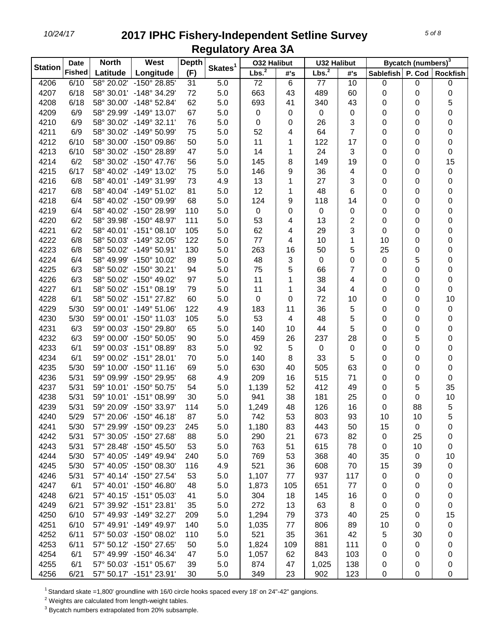|                | <b>Date</b>   | <b>North</b> | West                    | <b>Depth</b> |                     | <b>032 Halibut</b> |     | <b>U32 Halibut</b> |                |           | Bycatch (numbers) <sup>3</sup> |                 |
|----------------|---------------|--------------|-------------------------|--------------|---------------------|--------------------|-----|--------------------|----------------|-----------|--------------------------------|-----------------|
| <b>Station</b> | <b>Fished</b> | Latitude     | Longitude               | (F)          | Skates <sup>1</sup> | Lbs. <sup>2</sup>  | #'s | Lbs. <sup>2</sup>  | #'s            | Sablefish | P. Cod                         | <b>Rockfish</b> |
| 4206           | 6/10          |              | 58° 20.02' -150° 28.85' | 31           | 5.0                 | 72                 | 6   | 77                 | 10             | 0         | 0                              | 0               |
| 4207           | 6/18          |              | 58° 30.01' -148° 34.29' | 72           | 5.0                 | 663                | 43  | 489                | 60             | 0         | 0                              | 0               |
| 4208           | 6/18          |              | 58° 30.00' -148° 52.84' | 62           | 5.0                 | 693                | 41  | 340                | 43             | 0         | 0                              | 5               |
| 4209           | 6/9           |              | 58° 29.99' -149° 13.07' | 67           | 5.0                 | 0                  | 0   | 0                  | $\pmb{0}$      | 0         | 0                              | 0               |
| 4210           | 6/9           |              | 58° 30.02' -149° 32.11' | 76           | 5.0                 | 0                  | 0   | 26                 | 3              | 0         | 0                              | 0               |
| 4211           | 6/9           |              | 58° 30.02' -149° 50.99' | 75           | 5.0                 | 52                 | 4   | 64                 | $\overline{7}$ | 0         | 0                              | 0               |
| 4212           | 6/10          |              | 58° 30.00' -150° 09.86' | 50           | 5.0                 | 11                 | 1   | 122                | 17             | 0         | 0                              | 0               |
| 4213           | 6/10          |              | 58° 30.02' -150° 28.89' | 47           | 5.0                 | 14                 | 1   | 24                 | 3              | 0         | 0                              | 0               |
| 4214           | 6/2           |              | 58° 30.02' -150° 47.76' | 56           | 5.0                 | 145                | 8   | 149                | 19             | 0         | 0                              | 15              |
| 4215           | 6/17          |              | 58° 40.02' -149° 13.02' | 75           | 5.0                 | 146                | 9   | 36                 | 4              | 0         | 0                              | 0               |
| 4216           | 6/8           |              | 58° 40.01' -149° 31.99' | 73           | 4.9                 | 13                 | 1   | 27                 | 3              | 0         | 0                              | 0               |
| 4217           | 6/8           |              | 58° 40.04' -149° 51.02' | 81           | 5.0                 | 12                 | 1   | 48                 | 6              | 0         | 0                              | 0               |
| 4218           | 6/4           |              | 58° 40.02' -150° 09.99' | 68           | 5.0                 | 124                | 9   | 118                | 14             | 0         | 0                              | 0               |
| 4219           | 6/4           |              | 58° 40.02' -150° 28.99' | 110          | 5.0                 | $\mathbf 0$        | 0   | $\mathbf 0$        | 0              | 0         | 0                              | 0               |
| 4220           | 6/2           |              | 58° 39.98' -150° 48.97' | 111          | 5.0                 | 53                 | 4   | 13                 | 2              | 0         | 0                              | 0               |
| 4221           | 6/2           |              | 58° 40.01' -151° 08.10' | 105          | 5.0                 | 62                 | 4   | 29                 | 3              | 0         | 0                              | 0               |
| 4222           | 6/8           |              | 58° 50.03' -149° 32.05' | 122          | 5.0                 | 77                 | 4   | 10                 | 1              | 10        | 0                              | 0               |
| 4223           | 6/8           |              | 58° 50.02' -149° 50.91' | 130          | 5.0                 | 263                | 16  | 50                 | 5              | 25        | 0                              | 0               |
| 4224           | 6/4           |              | 58° 49.99' -150° 10.02' | 89           | 5.0                 | 48                 | 3   | $\mathbf 0$        | 0              | 0         | 5                              | 0               |
| 4225           | 6/3           |              | 58° 50.02' -150° 30.21' | 94           | 5.0                 | 75                 | 5   | 66                 | 7              | 0         | 0                              | 0               |
| 4226           | 6/3           |              | 58° 50.02' -150° 49.02' | 97           | 5.0                 | 11                 | 1   | 38                 | 4              | 0         | 0                              | 0               |
| 4227           | 6/1           |              | 58° 50.02' -151° 08.19' | 79           | 5.0                 | 11                 | 1   | 34                 | 4              | 0         | 0                              | 0               |
| 4228           | 6/1           |              | 58° 50.02' -151° 27.82' | 60           | 5.0                 | 0                  | 0   | 72                 | 10             | 0         | 0                              | 10              |
| 4229           | 5/30          |              | 59° 00.01' -149° 51.06' | 122          | 4.9                 | 183                | 11  | 36                 | 5              | 0         | 0                              | 0               |
| 4230           | 5/30          |              | 59° 00.01' -150° 11.03' | 105          | 5.0                 | 53                 | 4   | 48                 | 5              | 0         | 0                              | 0               |
| 4231           | 6/3           |              | 59° 00.03' -150° 29.80' | 65           | 5.0                 | 140                | 10  | 44                 | 5              | 0         | 0                              | 0               |
| 4232           | 6/3           |              | 59° 00.00' -150° 50.05' | 90           | 5.0                 | 459                | 26  | 237                | 28             | 0         | 5                              | 0               |
| 4233           | 6/1           |              | 59° 00.03' -151° 08.89' | 83           | 5.0                 | 92                 | 5   | $\mathbf 0$        | $\mathbf 0$    | 0         | 0                              | 0               |
| 4234           | 6/1           |              | 59° 00.02' -151° 28.01' | 70           | 5.0                 | 140                | 8   | 33                 | 5              | 0         | 0                              | 0               |
| 4235           | 5/30          |              | 59° 10.00' -150° 11.16' | 69           | 5.0                 | 630                | 40  | 505                | 63             | 0         | 0                              | 0               |
| 4236           | 5/31          |              | 59° 09.99' -150° 29.95' | 68           | 4.9                 | 209                | 16  | 515                | 71             | 0         | 0                              | 0               |
| 4237           | 5/31          |              | 59° 10.01' -150° 50.75' | 54           | 5.0                 | 1,139              | 52  | 412                | 49             | 0         | 5                              | 35              |
| 4238           | 5/31          |              | 59° 10.01' -151° 08.99' | 30           | 5.0                 | 941                | 38  | 181                | 25             | 0         | 0                              | 10              |
| 4239           | 5/31          |              | 59° 20.09' -150° 33.97' | 114          | 5.0                 | 1,249              | 48  | 126                | 16             | 0         | 88                             | 5               |
| 4240           | 5/29          |              | 57° 20.06' -150° 46.18' | 87           | 5.0                 | 742                | 53  | 803                | 93             | 10        | 10                             | 5               |
| 4241           | 5/30          |              | 57° 29.99' -150° 09.23' | 245          | 5.0                 | 1,180              | 83  | 443                | 50             | 15        | 0                              | 0               |
| 4242           | 5/31          |              | 57° 30.05' -150° 27.68' | 88           | 5.0                 | 290                | 21  | 673                | 82             | 0         | 25                             | 0               |
| 4243           | 5/31          |              | 57° 28.48' -150° 45.50' | 53           | 5.0                 | 763                | 51  | 615                | 78             | 0         | 10                             | 0               |
| 4244           | 5/30          |              | 57° 40.05' -149° 49.94' | 240          | 5.0                 | 769                | 53  | 368                | 40             | 35        | $\pmb{0}$                      | 10              |
| 4245           | 5/30          |              | 57° 40.05' -150° 08.30' | 116          | 4.9                 | 521                | 36  | 608                | 70             | 15        | 39                             | 0               |
| 4246           | 5/31          |              | 57° 40.14' -150° 27.54' | 53           | 5.0                 | 1,107              | 77  | 937                | 117            | 0         | 0                              | 0               |
| 4247           | 6/1           |              | 57° 40.01' -150° 46.80' | 48           | 5.0                 | 1,873              | 105 | 651                | 77             | 0         | 0                              | 0               |
| 4248           | 6/21          |              | 57° 40.15' -151° 05.03' | 41           | 5.0                 | 304                | 18  | 145                | 16             | 0         | 0                              | 0               |
| 4249           | 6/21          |              | 57° 39.92' -151° 23.81' | 35           | 5.0                 | 272                | 13  | 63                 | 8              | 0         | 0                              | 0               |
| 4250           | 6/10          |              | 57° 49.93' -149° 32.27' | 209          | 5.0                 | 1,294              | 79  | 373                | 40             | 25        | 0                              | 15              |
| 4251           | 6/10          |              | 57° 49.91' -149° 49.97' | 140          | 5.0                 | 1,035              | 77  | 806                | 89             | 10        | 0                              | 0               |
| 4252           | 6/11          |              | 57° 50.03' -150° 08.02' | 110          | 5.0                 | 521                | 35  | 361                | 42             | 5         | 30                             | 0               |
| 4253           | 6/11          |              | 57° 50.12' -150° 27.65' | 50           | 5.0                 | 1,824              | 109 | 881                | 111            | 0         | 0                              | 0               |
| 4254           | 6/1           |              | 57° 49.99' -150° 46.34' | 47           | 5.0                 | 1,057              | 62  | 843                | 103            | 0         | 0                              | 0               |
| 4255           | 6/1           |              | 57° 50.03' -151° 05.67' | 39           | 5.0                 | 874                | 47  | 1,025              | 138            | 0         | 0                              | 0               |
| 4256           | 6/21          |              | 57° 50.17' -151° 23.91' | 30           | 5.0                 | 349                | 23  | 902                | 123            | 0         | 0                              | 0               |

<sup>1</sup> Standard skate =1,800' groundline with 16/0 circle hooks spaced every 18' on 24"-42" gangions.

Weights are calculated from length-weight tables.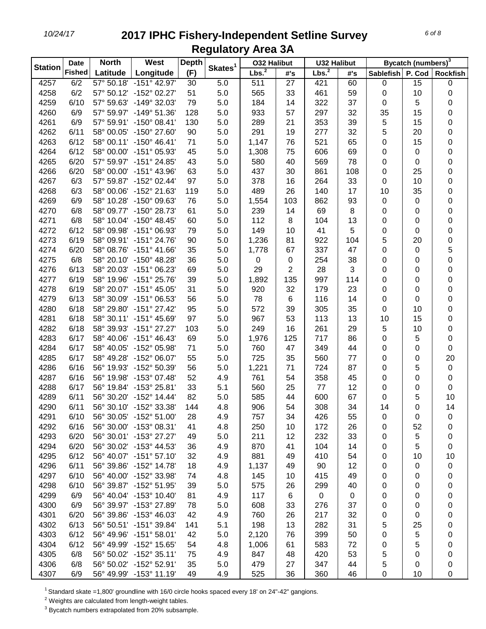| Bycatch (numbers) <sup>3</sup><br>Skates <sup>1</sup><br><b>Station</b><br>Lbs. <sup>2</sup><br>Lbs. <sup>2</sup><br><b>Fished</b><br>Latitude<br>Longitude<br>(F)<br>P. Cod<br>#'s<br>Sablefish<br><b>Rockfish</b><br>#'s<br>57° 50.18' -151° 42.97'<br>4257<br>6/2<br>5.0<br>511<br>27<br>421<br>60<br>0<br>15<br>$\pmb{0}$<br>30<br>4258<br>6/2<br>57° 50.12' -152° 02.27'<br>51<br>5.0<br>565<br>33<br>461<br>59<br>0<br>10<br>0<br>4259<br>6/10<br>57° 59.63'<br>$-149^{\circ}$ 32.03<br>79<br>5.0<br>184<br>14<br>322<br>37<br>5<br>0<br>0<br>297<br>32<br>35<br>15<br>4260<br>6/9<br>57° 59.97' -149° 51.36'<br>128<br>5.0<br>933<br>57<br>0<br>353<br>39<br>5<br>15<br>4261<br>6/9<br>57° 59.91' -150° 08.41'<br>130<br>5.0<br>21<br>0<br>289<br>32<br>5<br>20<br>4262<br>6/11<br>58° 00.05'<br>$-150^{\circ}$ 27.60<br>90<br>5.0<br>291<br>19<br>277<br>0<br>521<br>65<br>4263<br>6/12<br>58° 00.11' -150° 46.41'<br>71<br>5.0<br>1,147<br>76<br>0<br>15<br>0<br>75<br>69<br>4264<br>6/12<br>$-151^{\circ}$ 05.93'<br>45<br>5.0<br>1,308<br>606<br>0<br>0<br>58° 00.00'<br>0<br>78<br>0<br>4265<br>6/20<br>57° 59.97' -151° 24.85'<br>43<br>5.0<br>580<br>40<br>569<br>0<br>0<br>4266<br>6/20<br>$-151^{\circ}$ 43.96'<br>63<br>5.0<br>437<br>30<br>861<br>108<br>0<br>25<br>0<br>58° 00.00'<br>33<br>4267<br>6/3<br>57° 59.87' -152° 02.44'<br>5.0<br>378<br>16<br>264<br>10<br>0<br>97<br>0<br>26<br>35<br>4268<br>6/3<br>58° 00.06' -152° 21.63'<br>5.0<br>489<br>140<br>17<br>10<br>0<br>119<br>93<br>0<br>4269<br>5.0<br>103<br>862<br>0<br>6/9<br>58° 10.28' -150° 09.63'<br>76<br>1,554<br>0<br>4270<br>6/8<br>58° 09.77' -150° 28.73'<br>61<br>5.0<br>239<br>14<br>69<br>8<br>0<br>0<br>0<br>13<br>4271<br>6/8<br>58° 10.04' -150° 48.45'<br>60<br>5.0<br>112<br>8<br>104<br>0<br>0<br>0<br>4272<br>6/12<br>58° 09.98' -151° 06.93'<br>79<br>5.0<br>149<br>41<br>5<br>0<br>0<br>10<br>0<br>5<br>0<br>4273<br>6/19<br>58° 09.91' -151° 24.76'<br>81<br>922<br>104<br>20<br>90<br>5.0<br>1,236<br>5<br>4274<br>6/20<br>58° 08.76' -151° 41.66'<br>35<br>5.0<br>67<br>337<br>47<br>1,778<br>0<br>0<br>4275<br>6/8<br>58° 20.10'<br>$-150^{\circ}$ 48.28'<br>36<br>5.0<br>0<br>254<br>38<br>0<br>0<br>0<br>0<br>$\overline{2}$<br>28<br>3<br>4276<br>6/13<br>58° 20.03' -151° 06.23'<br>69<br>5.0<br>29<br>0<br>0<br>0<br>4277<br>6/19<br>58° 19.96' -151° 25.76'<br>39<br>5.0<br>1,892<br>135<br>997<br>114<br>0<br>0<br>0<br>32<br>23<br>4278<br>6/19<br>58° 20.07' -151° 45.05'<br>31<br>5.0<br>179<br>0<br>0<br>0<br>920<br>14<br>4279<br>6/13<br>58° 30.09' -151° 06.53'<br>56<br>5.0<br>78<br>6<br>116<br>0<br>0<br>0<br>4280<br>35<br>10<br>6/18<br>58° 29.80'<br>$-151^{\circ}$ 27.42<br>95<br>5.0<br>572<br>39<br>305<br>0<br>0<br>113<br>13<br>15<br>4281<br>6/18<br>58° 30.11' -151° 45.69'<br>97<br>5.0<br>967<br>53<br>10<br>0<br>16<br>5<br>4282<br>6/18<br>58° 39.93'<br>$-151^{\circ}$ 27.27'<br>103<br>5.0<br>249<br>261<br>29<br>10<br>0<br>0<br>4283<br>6/17<br>58° 40.06'<br>$-151^{\circ}$ 46.43<br>5.0<br>1,976<br>125<br>717<br>86<br>0<br>5<br>69<br>4284<br>6/17<br>58° 40.05'<br>-152° 05.98'<br>71<br>5.0<br>760<br>47<br>349<br>44<br>0<br>0<br>0<br>725<br>77<br>20<br>4285<br>6/17<br>58° 49.28' -152° 06.07'<br>55<br>35<br>560<br>0<br>5.0<br>0<br>4286<br>6/16<br>56<br>724<br>87<br>5<br>$\pmb{0}$<br>56° 19.93' -152° 50.39'<br>5.0<br>1,221<br>71<br>0<br>4287<br>6/16<br>56° 19.98' -153° 07.48'<br>52<br>358<br>45<br>0<br>0<br>4.9<br>761<br>54<br>0<br>4288<br>6/17<br>56° 19.84' -153° 25.81'<br>33<br>25<br>77<br>12<br>5.1<br>560<br>0<br>0<br>0 |
|----------------------------------------------------------------------------------------------------------------------------------------------------------------------------------------------------------------------------------------------------------------------------------------------------------------------------------------------------------------------------------------------------------------------------------------------------------------------------------------------------------------------------------------------------------------------------------------------------------------------------------------------------------------------------------------------------------------------------------------------------------------------------------------------------------------------------------------------------------------------------------------------------------------------------------------------------------------------------------------------------------------------------------------------------------------------------------------------------------------------------------------------------------------------------------------------------------------------------------------------------------------------------------------------------------------------------------------------------------------------------------------------------------------------------------------------------------------------------------------------------------------------------------------------------------------------------------------------------------------------------------------------------------------------------------------------------------------------------------------------------------------------------------------------------------------------------------------------------------------------------------------------------------------------------------------------------------------------------------------------------------------------------------------------------------------------------------------------------------------------------------------------------------------------------------------------------------------------------------------------------------------------------------------------------------------------------------------------------------------------------------------------------------------------------------------------------------------------------------------------------------------------------------------------------------------------------------------------------------------------------------------------------------------------------------------------------------------------------------------------------------------------------------------------------------------------------------------------------------------------------------------------------------------------------------------------------------------------------------------------------------------------------------------------------------------------------------------------------------------------------------------------------------------------------------------------------------------------------------------------------------------------------------------------------------------------------------------------------------------------------------------------------------------------------------------------------------------------------------------------------------------------------------------------------------------------------------------------------------|
|                                                                                                                                                                                                                                                                                                                                                                                                                                                                                                                                                                                                                                                                                                                                                                                                                                                                                                                                                                                                                                                                                                                                                                                                                                                                                                                                                                                                                                                                                                                                                                                                                                                                                                                                                                                                                                                                                                                                                                                                                                                                                                                                                                                                                                                                                                                                                                                                                                                                                                                                                                                                                                                                                                                                                                                                                                                                                                                                                                                                                                                                                                                                                                                                                                                                                                                                                                                                                                                                                                                                                                                                          |
|                                                                                                                                                                                                                                                                                                                                                                                                                                                                                                                                                                                                                                                                                                                                                                                                                                                                                                                                                                                                                                                                                                                                                                                                                                                                                                                                                                                                                                                                                                                                                                                                                                                                                                                                                                                                                                                                                                                                                                                                                                                                                                                                                                                                                                                                                                                                                                                                                                                                                                                                                                                                                                                                                                                                                                                                                                                                                                                                                                                                                                                                                                                                                                                                                                                                                                                                                                                                                                                                                                                                                                                                          |
|                                                                                                                                                                                                                                                                                                                                                                                                                                                                                                                                                                                                                                                                                                                                                                                                                                                                                                                                                                                                                                                                                                                                                                                                                                                                                                                                                                                                                                                                                                                                                                                                                                                                                                                                                                                                                                                                                                                                                                                                                                                                                                                                                                                                                                                                                                                                                                                                                                                                                                                                                                                                                                                                                                                                                                                                                                                                                                                                                                                                                                                                                                                                                                                                                                                                                                                                                                                                                                                                                                                                                                                                          |
|                                                                                                                                                                                                                                                                                                                                                                                                                                                                                                                                                                                                                                                                                                                                                                                                                                                                                                                                                                                                                                                                                                                                                                                                                                                                                                                                                                                                                                                                                                                                                                                                                                                                                                                                                                                                                                                                                                                                                                                                                                                                                                                                                                                                                                                                                                                                                                                                                                                                                                                                                                                                                                                                                                                                                                                                                                                                                                                                                                                                                                                                                                                                                                                                                                                                                                                                                                                                                                                                                                                                                                                                          |
|                                                                                                                                                                                                                                                                                                                                                                                                                                                                                                                                                                                                                                                                                                                                                                                                                                                                                                                                                                                                                                                                                                                                                                                                                                                                                                                                                                                                                                                                                                                                                                                                                                                                                                                                                                                                                                                                                                                                                                                                                                                                                                                                                                                                                                                                                                                                                                                                                                                                                                                                                                                                                                                                                                                                                                                                                                                                                                                                                                                                                                                                                                                                                                                                                                                                                                                                                                                                                                                                                                                                                                                                          |
|                                                                                                                                                                                                                                                                                                                                                                                                                                                                                                                                                                                                                                                                                                                                                                                                                                                                                                                                                                                                                                                                                                                                                                                                                                                                                                                                                                                                                                                                                                                                                                                                                                                                                                                                                                                                                                                                                                                                                                                                                                                                                                                                                                                                                                                                                                                                                                                                                                                                                                                                                                                                                                                                                                                                                                                                                                                                                                                                                                                                                                                                                                                                                                                                                                                                                                                                                                                                                                                                                                                                                                                                          |
|                                                                                                                                                                                                                                                                                                                                                                                                                                                                                                                                                                                                                                                                                                                                                                                                                                                                                                                                                                                                                                                                                                                                                                                                                                                                                                                                                                                                                                                                                                                                                                                                                                                                                                                                                                                                                                                                                                                                                                                                                                                                                                                                                                                                                                                                                                                                                                                                                                                                                                                                                                                                                                                                                                                                                                                                                                                                                                                                                                                                                                                                                                                                                                                                                                                                                                                                                                                                                                                                                                                                                                                                          |
|                                                                                                                                                                                                                                                                                                                                                                                                                                                                                                                                                                                                                                                                                                                                                                                                                                                                                                                                                                                                                                                                                                                                                                                                                                                                                                                                                                                                                                                                                                                                                                                                                                                                                                                                                                                                                                                                                                                                                                                                                                                                                                                                                                                                                                                                                                                                                                                                                                                                                                                                                                                                                                                                                                                                                                                                                                                                                                                                                                                                                                                                                                                                                                                                                                                                                                                                                                                                                                                                                                                                                                                                          |
|                                                                                                                                                                                                                                                                                                                                                                                                                                                                                                                                                                                                                                                                                                                                                                                                                                                                                                                                                                                                                                                                                                                                                                                                                                                                                                                                                                                                                                                                                                                                                                                                                                                                                                                                                                                                                                                                                                                                                                                                                                                                                                                                                                                                                                                                                                                                                                                                                                                                                                                                                                                                                                                                                                                                                                                                                                                                                                                                                                                                                                                                                                                                                                                                                                                                                                                                                                                                                                                                                                                                                                                                          |
|                                                                                                                                                                                                                                                                                                                                                                                                                                                                                                                                                                                                                                                                                                                                                                                                                                                                                                                                                                                                                                                                                                                                                                                                                                                                                                                                                                                                                                                                                                                                                                                                                                                                                                                                                                                                                                                                                                                                                                                                                                                                                                                                                                                                                                                                                                                                                                                                                                                                                                                                                                                                                                                                                                                                                                                                                                                                                                                                                                                                                                                                                                                                                                                                                                                                                                                                                                                                                                                                                                                                                                                                          |
|                                                                                                                                                                                                                                                                                                                                                                                                                                                                                                                                                                                                                                                                                                                                                                                                                                                                                                                                                                                                                                                                                                                                                                                                                                                                                                                                                                                                                                                                                                                                                                                                                                                                                                                                                                                                                                                                                                                                                                                                                                                                                                                                                                                                                                                                                                                                                                                                                                                                                                                                                                                                                                                                                                                                                                                                                                                                                                                                                                                                                                                                                                                                                                                                                                                                                                                                                                                                                                                                                                                                                                                                          |
|                                                                                                                                                                                                                                                                                                                                                                                                                                                                                                                                                                                                                                                                                                                                                                                                                                                                                                                                                                                                                                                                                                                                                                                                                                                                                                                                                                                                                                                                                                                                                                                                                                                                                                                                                                                                                                                                                                                                                                                                                                                                                                                                                                                                                                                                                                                                                                                                                                                                                                                                                                                                                                                                                                                                                                                                                                                                                                                                                                                                                                                                                                                                                                                                                                                                                                                                                                                                                                                                                                                                                                                                          |
|                                                                                                                                                                                                                                                                                                                                                                                                                                                                                                                                                                                                                                                                                                                                                                                                                                                                                                                                                                                                                                                                                                                                                                                                                                                                                                                                                                                                                                                                                                                                                                                                                                                                                                                                                                                                                                                                                                                                                                                                                                                                                                                                                                                                                                                                                                                                                                                                                                                                                                                                                                                                                                                                                                                                                                                                                                                                                                                                                                                                                                                                                                                                                                                                                                                                                                                                                                                                                                                                                                                                                                                                          |
|                                                                                                                                                                                                                                                                                                                                                                                                                                                                                                                                                                                                                                                                                                                                                                                                                                                                                                                                                                                                                                                                                                                                                                                                                                                                                                                                                                                                                                                                                                                                                                                                                                                                                                                                                                                                                                                                                                                                                                                                                                                                                                                                                                                                                                                                                                                                                                                                                                                                                                                                                                                                                                                                                                                                                                                                                                                                                                                                                                                                                                                                                                                                                                                                                                                                                                                                                                                                                                                                                                                                                                                                          |
|                                                                                                                                                                                                                                                                                                                                                                                                                                                                                                                                                                                                                                                                                                                                                                                                                                                                                                                                                                                                                                                                                                                                                                                                                                                                                                                                                                                                                                                                                                                                                                                                                                                                                                                                                                                                                                                                                                                                                                                                                                                                                                                                                                                                                                                                                                                                                                                                                                                                                                                                                                                                                                                                                                                                                                                                                                                                                                                                                                                                                                                                                                                                                                                                                                                                                                                                                                                                                                                                                                                                                                                                          |
|                                                                                                                                                                                                                                                                                                                                                                                                                                                                                                                                                                                                                                                                                                                                                                                                                                                                                                                                                                                                                                                                                                                                                                                                                                                                                                                                                                                                                                                                                                                                                                                                                                                                                                                                                                                                                                                                                                                                                                                                                                                                                                                                                                                                                                                                                                                                                                                                                                                                                                                                                                                                                                                                                                                                                                                                                                                                                                                                                                                                                                                                                                                                                                                                                                                                                                                                                                                                                                                                                                                                                                                                          |
|                                                                                                                                                                                                                                                                                                                                                                                                                                                                                                                                                                                                                                                                                                                                                                                                                                                                                                                                                                                                                                                                                                                                                                                                                                                                                                                                                                                                                                                                                                                                                                                                                                                                                                                                                                                                                                                                                                                                                                                                                                                                                                                                                                                                                                                                                                                                                                                                                                                                                                                                                                                                                                                                                                                                                                                                                                                                                                                                                                                                                                                                                                                                                                                                                                                                                                                                                                                                                                                                                                                                                                                                          |
|                                                                                                                                                                                                                                                                                                                                                                                                                                                                                                                                                                                                                                                                                                                                                                                                                                                                                                                                                                                                                                                                                                                                                                                                                                                                                                                                                                                                                                                                                                                                                                                                                                                                                                                                                                                                                                                                                                                                                                                                                                                                                                                                                                                                                                                                                                                                                                                                                                                                                                                                                                                                                                                                                                                                                                                                                                                                                                                                                                                                                                                                                                                                                                                                                                                                                                                                                                                                                                                                                                                                                                                                          |
|                                                                                                                                                                                                                                                                                                                                                                                                                                                                                                                                                                                                                                                                                                                                                                                                                                                                                                                                                                                                                                                                                                                                                                                                                                                                                                                                                                                                                                                                                                                                                                                                                                                                                                                                                                                                                                                                                                                                                                                                                                                                                                                                                                                                                                                                                                                                                                                                                                                                                                                                                                                                                                                                                                                                                                                                                                                                                                                                                                                                                                                                                                                                                                                                                                                                                                                                                                                                                                                                                                                                                                                                          |
|                                                                                                                                                                                                                                                                                                                                                                                                                                                                                                                                                                                                                                                                                                                                                                                                                                                                                                                                                                                                                                                                                                                                                                                                                                                                                                                                                                                                                                                                                                                                                                                                                                                                                                                                                                                                                                                                                                                                                                                                                                                                                                                                                                                                                                                                                                                                                                                                                                                                                                                                                                                                                                                                                                                                                                                                                                                                                                                                                                                                                                                                                                                                                                                                                                                                                                                                                                                                                                                                                                                                                                                                          |
|                                                                                                                                                                                                                                                                                                                                                                                                                                                                                                                                                                                                                                                                                                                                                                                                                                                                                                                                                                                                                                                                                                                                                                                                                                                                                                                                                                                                                                                                                                                                                                                                                                                                                                                                                                                                                                                                                                                                                                                                                                                                                                                                                                                                                                                                                                                                                                                                                                                                                                                                                                                                                                                                                                                                                                                                                                                                                                                                                                                                                                                                                                                                                                                                                                                                                                                                                                                                                                                                                                                                                                                                          |
|                                                                                                                                                                                                                                                                                                                                                                                                                                                                                                                                                                                                                                                                                                                                                                                                                                                                                                                                                                                                                                                                                                                                                                                                                                                                                                                                                                                                                                                                                                                                                                                                                                                                                                                                                                                                                                                                                                                                                                                                                                                                                                                                                                                                                                                                                                                                                                                                                                                                                                                                                                                                                                                                                                                                                                                                                                                                                                                                                                                                                                                                                                                                                                                                                                                                                                                                                                                                                                                                                                                                                                                                          |
|                                                                                                                                                                                                                                                                                                                                                                                                                                                                                                                                                                                                                                                                                                                                                                                                                                                                                                                                                                                                                                                                                                                                                                                                                                                                                                                                                                                                                                                                                                                                                                                                                                                                                                                                                                                                                                                                                                                                                                                                                                                                                                                                                                                                                                                                                                                                                                                                                                                                                                                                                                                                                                                                                                                                                                                                                                                                                                                                                                                                                                                                                                                                                                                                                                                                                                                                                                                                                                                                                                                                                                                                          |
|                                                                                                                                                                                                                                                                                                                                                                                                                                                                                                                                                                                                                                                                                                                                                                                                                                                                                                                                                                                                                                                                                                                                                                                                                                                                                                                                                                                                                                                                                                                                                                                                                                                                                                                                                                                                                                                                                                                                                                                                                                                                                                                                                                                                                                                                                                                                                                                                                                                                                                                                                                                                                                                                                                                                                                                                                                                                                                                                                                                                                                                                                                                                                                                                                                                                                                                                                                                                                                                                                                                                                                                                          |
|                                                                                                                                                                                                                                                                                                                                                                                                                                                                                                                                                                                                                                                                                                                                                                                                                                                                                                                                                                                                                                                                                                                                                                                                                                                                                                                                                                                                                                                                                                                                                                                                                                                                                                                                                                                                                                                                                                                                                                                                                                                                                                                                                                                                                                                                                                                                                                                                                                                                                                                                                                                                                                                                                                                                                                                                                                                                                                                                                                                                                                                                                                                                                                                                                                                                                                                                                                                                                                                                                                                                                                                                          |
|                                                                                                                                                                                                                                                                                                                                                                                                                                                                                                                                                                                                                                                                                                                                                                                                                                                                                                                                                                                                                                                                                                                                                                                                                                                                                                                                                                                                                                                                                                                                                                                                                                                                                                                                                                                                                                                                                                                                                                                                                                                                                                                                                                                                                                                                                                                                                                                                                                                                                                                                                                                                                                                                                                                                                                                                                                                                                                                                                                                                                                                                                                                                                                                                                                                                                                                                                                                                                                                                                                                                                                                                          |
|                                                                                                                                                                                                                                                                                                                                                                                                                                                                                                                                                                                                                                                                                                                                                                                                                                                                                                                                                                                                                                                                                                                                                                                                                                                                                                                                                                                                                                                                                                                                                                                                                                                                                                                                                                                                                                                                                                                                                                                                                                                                                                                                                                                                                                                                                                                                                                                                                                                                                                                                                                                                                                                                                                                                                                                                                                                                                                                                                                                                                                                                                                                                                                                                                                                                                                                                                                                                                                                                                                                                                                                                          |
|                                                                                                                                                                                                                                                                                                                                                                                                                                                                                                                                                                                                                                                                                                                                                                                                                                                                                                                                                                                                                                                                                                                                                                                                                                                                                                                                                                                                                                                                                                                                                                                                                                                                                                                                                                                                                                                                                                                                                                                                                                                                                                                                                                                                                                                                                                                                                                                                                                                                                                                                                                                                                                                                                                                                                                                                                                                                                                                                                                                                                                                                                                                                                                                                                                                                                                                                                                                                                                                                                                                                                                                                          |
|                                                                                                                                                                                                                                                                                                                                                                                                                                                                                                                                                                                                                                                                                                                                                                                                                                                                                                                                                                                                                                                                                                                                                                                                                                                                                                                                                                                                                                                                                                                                                                                                                                                                                                                                                                                                                                                                                                                                                                                                                                                                                                                                                                                                                                                                                                                                                                                                                                                                                                                                                                                                                                                                                                                                                                                                                                                                                                                                                                                                                                                                                                                                                                                                                                                                                                                                                                                                                                                                                                                                                                                                          |
|                                                                                                                                                                                                                                                                                                                                                                                                                                                                                                                                                                                                                                                                                                                                                                                                                                                                                                                                                                                                                                                                                                                                                                                                                                                                                                                                                                                                                                                                                                                                                                                                                                                                                                                                                                                                                                                                                                                                                                                                                                                                                                                                                                                                                                                                                                                                                                                                                                                                                                                                                                                                                                                                                                                                                                                                                                                                                                                                                                                                                                                                                                                                                                                                                                                                                                                                                                                                                                                                                                                                                                                                          |
|                                                                                                                                                                                                                                                                                                                                                                                                                                                                                                                                                                                                                                                                                                                                                                                                                                                                                                                                                                                                                                                                                                                                                                                                                                                                                                                                                                                                                                                                                                                                                                                                                                                                                                                                                                                                                                                                                                                                                                                                                                                                                                                                                                                                                                                                                                                                                                                                                                                                                                                                                                                                                                                                                                                                                                                                                                                                                                                                                                                                                                                                                                                                                                                                                                                                                                                                                                                                                                                                                                                                                                                                          |
|                                                                                                                                                                                                                                                                                                                                                                                                                                                                                                                                                                                                                                                                                                                                                                                                                                                                                                                                                                                                                                                                                                                                                                                                                                                                                                                                                                                                                                                                                                                                                                                                                                                                                                                                                                                                                                                                                                                                                                                                                                                                                                                                                                                                                                                                                                                                                                                                                                                                                                                                                                                                                                                                                                                                                                                                                                                                                                                                                                                                                                                                                                                                                                                                                                                                                                                                                                                                                                                                                                                                                                                                          |
|                                                                                                                                                                                                                                                                                                                                                                                                                                                                                                                                                                                                                                                                                                                                                                                                                                                                                                                                                                                                                                                                                                                                                                                                                                                                                                                                                                                                                                                                                                                                                                                                                                                                                                                                                                                                                                                                                                                                                                                                                                                                                                                                                                                                                                                                                                                                                                                                                                                                                                                                                                                                                                                                                                                                                                                                                                                                                                                                                                                                                                                                                                                                                                                                                                                                                                                                                                                                                                                                                                                                                                                                          |
| 4289<br>6/11<br>56° 30.20' -152° 14.44'<br>82<br>585<br>44<br>67<br>5<br>10<br>5.0<br>600<br>0                                                                                                                                                                                                                                                                                                                                                                                                                                                                                                                                                                                                                                                                                                                                                                                                                                                                                                                                                                                                                                                                                                                                                                                                                                                                                                                                                                                                                                                                                                                                                                                                                                                                                                                                                                                                                                                                                                                                                                                                                                                                                                                                                                                                                                                                                                                                                                                                                                                                                                                                                                                                                                                                                                                                                                                                                                                                                                                                                                                                                                                                                                                                                                                                                                                                                                                                                                                                                                                                                                           |
| 34<br>14<br>4290<br>6/11<br>56° 30.10' -152° 33.38'<br>906<br>54<br>308<br>14<br>0<br>144<br>4.8                                                                                                                                                                                                                                                                                                                                                                                                                                                                                                                                                                                                                                                                                                                                                                                                                                                                                                                                                                                                                                                                                                                                                                                                                                                                                                                                                                                                                                                                                                                                                                                                                                                                                                                                                                                                                                                                                                                                                                                                                                                                                                                                                                                                                                                                                                                                                                                                                                                                                                                                                                                                                                                                                                                                                                                                                                                                                                                                                                                                                                                                                                                                                                                                                                                                                                                                                                                                                                                                                                         |
| 56° 30.05' -152° 51.00'<br>4291<br>6/10<br>4.9<br>34<br>426<br>55<br>28<br>757<br>0<br>0<br>0                                                                                                                                                                                                                                                                                                                                                                                                                                                                                                                                                                                                                                                                                                                                                                                                                                                                                                                                                                                                                                                                                                                                                                                                                                                                                                                                                                                                                                                                                                                                                                                                                                                                                                                                                                                                                                                                                                                                                                                                                                                                                                                                                                                                                                                                                                                                                                                                                                                                                                                                                                                                                                                                                                                                                                                                                                                                                                                                                                                                                                                                                                                                                                                                                                                                                                                                                                                                                                                                                                            |
| 4292<br>6/16<br>56° 30.00' -153° 08.31'<br>4.8<br>250<br>10<br>172<br>26<br>52<br>41<br>0<br>0                                                                                                                                                                                                                                                                                                                                                                                                                                                                                                                                                                                                                                                                                                                                                                                                                                                                                                                                                                                                                                                                                                                                                                                                                                                                                                                                                                                                                                                                                                                                                                                                                                                                                                                                                                                                                                                                                                                                                                                                                                                                                                                                                                                                                                                                                                                                                                                                                                                                                                                                                                                                                                                                                                                                                                                                                                                                                                                                                                                                                                                                                                                                                                                                                                                                                                                                                                                                                                                                                                           |
| 4293<br>56° 30.01' -153° 27.27'<br>5.0<br>12<br>232<br>33<br>5<br>6/20<br>49<br>211<br>0<br>0                                                                                                                                                                                                                                                                                                                                                                                                                                                                                                                                                                                                                                                                                                                                                                                                                                                                                                                                                                                                                                                                                                                                                                                                                                                                                                                                                                                                                                                                                                                                                                                                                                                                                                                                                                                                                                                                                                                                                                                                                                                                                                                                                                                                                                                                                                                                                                                                                                                                                                                                                                                                                                                                                                                                                                                                                                                                                                                                                                                                                                                                                                                                                                                                                                                                                                                                                                                                                                                                                                            |
| 5<br>4294<br>56° 30.02' -153° 44.53'<br>104<br>14<br>0<br>6/20<br>36<br>4.9<br>870<br>41<br>0                                                                                                                                                                                                                                                                                                                                                                                                                                                                                                                                                                                                                                                                                                                                                                                                                                                                                                                                                                                                                                                                                                                                                                                                                                                                                                                                                                                                                                                                                                                                                                                                                                                                                                                                                                                                                                                                                                                                                                                                                                                                                                                                                                                                                                                                                                                                                                                                                                                                                                                                                                                                                                                                                                                                                                                                                                                                                                                                                                                                                                                                                                                                                                                                                                                                                                                                                                                                                                                                                                            |
| 4295<br>6/12<br>56° 40.07' -151° 57.10'<br>881<br>410<br>54<br>10<br>10<br>32<br>4.9<br>49<br>0                                                                                                                                                                                                                                                                                                                                                                                                                                                                                                                                                                                                                                                                                                                                                                                                                                                                                                                                                                                                                                                                                                                                                                                                                                                                                                                                                                                                                                                                                                                                                                                                                                                                                                                                                                                                                                                                                                                                                                                                                                                                                                                                                                                                                                                                                                                                                                                                                                                                                                                                                                                                                                                                                                                                                                                                                                                                                                                                                                                                                                                                                                                                                                                                                                                                                                                                                                                                                                                                                                          |
| 4296<br>6/11<br>56° 39.86' -152° 14.78'<br>12<br>18<br>4.9<br>1,137<br>49<br>90<br>0<br>0<br>0                                                                                                                                                                                                                                                                                                                                                                                                                                                                                                                                                                                                                                                                                                                                                                                                                                                                                                                                                                                                                                                                                                                                                                                                                                                                                                                                                                                                                                                                                                                                                                                                                                                                                                                                                                                                                                                                                                                                                                                                                                                                                                                                                                                                                                                                                                                                                                                                                                                                                                                                                                                                                                                                                                                                                                                                                                                                                                                                                                                                                                                                                                                                                                                                                                                                                                                                                                                                                                                                                                           |
| 4297<br>6/10<br>56° 40.00' -152° 33.98'<br>49<br>74<br>4.8<br>145<br>10<br>415<br>0<br>0<br>0                                                                                                                                                                                                                                                                                                                                                                                                                                                                                                                                                                                                                                                                                                                                                                                                                                                                                                                                                                                                                                                                                                                                                                                                                                                                                                                                                                                                                                                                                                                                                                                                                                                                                                                                                                                                                                                                                                                                                                                                                                                                                                                                                                                                                                                                                                                                                                                                                                                                                                                                                                                                                                                                                                                                                                                                                                                                                                                                                                                                                                                                                                                                                                                                                                                                                                                                                                                                                                                                                                            |
| 4298<br>56° 39.87' -152° 51.95'<br>5.0<br>575<br>40<br>6/10<br>39<br>26<br>299<br>0<br>0<br>0                                                                                                                                                                                                                                                                                                                                                                                                                                                                                                                                                                                                                                                                                                                                                                                                                                                                                                                                                                                                                                                                                                                                                                                                                                                                                                                                                                                                                                                                                                                                                                                                                                                                                                                                                                                                                                                                                                                                                                                                                                                                                                                                                                                                                                                                                                                                                                                                                                                                                                                                                                                                                                                                                                                                                                                                                                                                                                                                                                                                                                                                                                                                                                                                                                                                                                                                                                                                                                                                                                            |
| 4299<br>56° 40.04' -153° 10.40'<br>4.9<br>6<br>6/9<br>81<br>117<br>$\mathbf 0$<br>$\pmb{0}$<br>0<br>0<br>0                                                                                                                                                                                                                                                                                                                                                                                                                                                                                                                                                                                                                                                                                                                                                                                                                                                                                                                                                                                                                                                                                                                                                                                                                                                                                                                                                                                                                                                                                                                                                                                                                                                                                                                                                                                                                                                                                                                                                                                                                                                                                                                                                                                                                                                                                                                                                                                                                                                                                                                                                                                                                                                                                                                                                                                                                                                                                                                                                                                                                                                                                                                                                                                                                                                                                                                                                                                                                                                                                               |
| 4300<br>56° 39.97' -153° 27.89'<br>33<br>37<br>6/9<br>78<br>5.0<br>608<br>276<br>0<br>0<br>0                                                                                                                                                                                                                                                                                                                                                                                                                                                                                                                                                                                                                                                                                                                                                                                                                                                                                                                                                                                                                                                                                                                                                                                                                                                                                                                                                                                                                                                                                                                                                                                                                                                                                                                                                                                                                                                                                                                                                                                                                                                                                                                                                                                                                                                                                                                                                                                                                                                                                                                                                                                                                                                                                                                                                                                                                                                                                                                                                                                                                                                                                                                                                                                                                                                                                                                                                                                                                                                                                                             |
| 4301<br>217<br>32<br>6/20<br>56° 39.86' -153° 46.03'<br>42<br>4.9<br>760<br>26<br>0<br>0<br>0                                                                                                                                                                                                                                                                                                                                                                                                                                                                                                                                                                                                                                                                                                                                                                                                                                                                                                                                                                                                                                                                                                                                                                                                                                                                                                                                                                                                                                                                                                                                                                                                                                                                                                                                                                                                                                                                                                                                                                                                                                                                                                                                                                                                                                                                                                                                                                                                                                                                                                                                                                                                                                                                                                                                                                                                                                                                                                                                                                                                                                                                                                                                                                                                                                                                                                                                                                                                                                                                                                            |
| 31<br>5<br>25<br>4302<br>6/13<br>56° 50.51' -151° 39.84'<br>5.1<br>198<br>13<br>282<br>0<br>141                                                                                                                                                                                                                                                                                                                                                                                                                                                                                                                                                                                                                                                                                                                                                                                                                                                                                                                                                                                                                                                                                                                                                                                                                                                                                                                                                                                                                                                                                                                                                                                                                                                                                                                                                                                                                                                                                                                                                                                                                                                                                                                                                                                                                                                                                                                                                                                                                                                                                                                                                                                                                                                                                                                                                                                                                                                                                                                                                                                                                                                                                                                                                                                                                                                                                                                                                                                                                                                                                                          |
| 4303<br>6/12<br>399<br>5<br>56° 49.96' -151° 58.01'<br>42<br>5.0<br>2,120<br>76<br>50<br>0<br>0                                                                                                                                                                                                                                                                                                                                                                                                                                                                                                                                                                                                                                                                                                                                                                                                                                                                                                                                                                                                                                                                                                                                                                                                                                                                                                                                                                                                                                                                                                                                                                                                                                                                                                                                                                                                                                                                                                                                                                                                                                                                                                                                                                                                                                                                                                                                                                                                                                                                                                                                                                                                                                                                                                                                                                                                                                                                                                                                                                                                                                                                                                                                                                                                                                                                                                                                                                                                                                                                                                          |
| 4304<br>6/12<br>5<br>56° 49.99' -152° 15.65'<br>4.8<br>1,006<br>61<br>583<br>72<br>54<br>0<br>0                                                                                                                                                                                                                                                                                                                                                                                                                                                                                                                                                                                                                                                                                                                                                                                                                                                                                                                                                                                                                                                                                                                                                                                                                                                                                                                                                                                                                                                                                                                                                                                                                                                                                                                                                                                                                                                                                                                                                                                                                                                                                                                                                                                                                                                                                                                                                                                                                                                                                                                                                                                                                                                                                                                                                                                                                                                                                                                                                                                                                                                                                                                                                                                                                                                                                                                                                                                                                                                                                                          |
| 4305<br>53<br>6/8<br>56° 50.02' -152° 35.11'<br>4.9<br>847<br>420<br>5<br>0<br>75<br>48<br>0                                                                                                                                                                                                                                                                                                                                                                                                                                                                                                                                                                                                                                                                                                                                                                                                                                                                                                                                                                                                                                                                                                                                                                                                                                                                                                                                                                                                                                                                                                                                                                                                                                                                                                                                                                                                                                                                                                                                                                                                                                                                                                                                                                                                                                                                                                                                                                                                                                                                                                                                                                                                                                                                                                                                                                                                                                                                                                                                                                                                                                                                                                                                                                                                                                                                                                                                                                                                                                                                                                             |
| 4306<br>56° 50.02' -152° 52.91'<br>5<br>6/8<br>35<br>5.0<br>479<br>27<br>347<br>44<br>0<br>0                                                                                                                                                                                                                                                                                                                                                                                                                                                                                                                                                                                                                                                                                                                                                                                                                                                                                                                                                                                                                                                                                                                                                                                                                                                                                                                                                                                                                                                                                                                                                                                                                                                                                                                                                                                                                                                                                                                                                                                                                                                                                                                                                                                                                                                                                                                                                                                                                                                                                                                                                                                                                                                                                                                                                                                                                                                                                                                                                                                                                                                                                                                                                                                                                                                                                                                                                                                                                                                                                                             |
| 4307<br>56° 49.99' -153° 11.19'<br>525<br>36<br>360<br>46<br>10<br>0<br>6/9<br>49<br>4.9<br>0                                                                                                                                                                                                                                                                                                                                                                                                                                                                                                                                                                                                                                                                                                                                                                                                                                                                                                                                                                                                                                                                                                                                                                                                                                                                                                                                                                                                                                                                                                                                                                                                                                                                                                                                                                                                                                                                                                                                                                                                                                                                                                                                                                                                                                                                                                                                                                                                                                                                                                                                                                                                                                                                                                                                                                                                                                                                                                                                                                                                                                                                                                                                                                                                                                                                                                                                                                                                                                                                                                            |

<sup>1</sup> Standard skate =1,800' groundline with 16/0 circle hooks spaced every 18' on 24"-42" gangions.

Weights are calculated from length-weight tables.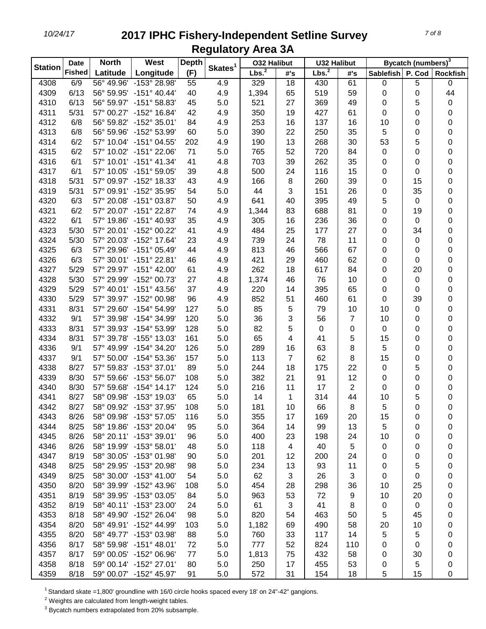| <b>Station</b> | <b>Date</b>   | <b>North</b> | West                    | <b>Depth</b> |                     | <b>032 Halibut</b> |     | <b>U32 Halibut</b> |     |                  | Bycatch (numbers) <sup>3</sup> |                 |
|----------------|---------------|--------------|-------------------------|--------------|---------------------|--------------------|-----|--------------------|-----|------------------|--------------------------------|-----------------|
|                | <b>Fished</b> | Latitude     | Longitude               | (F)          | Skates <sup>1</sup> | Lbs. <sup>2</sup>  | #'s | Lbs. <sup>2</sup>  | #'s | <b>Sablefish</b> | P. Cod                         | <b>Rockfish</b> |
| 4308           | 6/9           |              | 56° 49.96' -153° 28.98' | 55           | 4.9                 | 329                | 18  | 430                | 61  | 0                | 5                              | 0               |
| 4309           | 6/13          | 56° 59.95'   | $-151^{\circ}$ 40.44'   | 40           | 4.9                 | 1,394              | 65  | 519                | 59  | 0                | 0                              | 44              |
| 4310           | 6/13          |              | 56° 59.97' -151° 58.83' | 45           | 5.0                 | 521                | 27  | 369                | 49  | 0                | 5                              | 0               |
| 4311           | 5/31          |              | 57° 00.27' -152° 16.84' | 42           | 4.9                 | 350                | 19  | 427                | 61  | 0                | 0                              | 0               |
| 4312           | 6/8           |              | 56° 59.82' -152° 35.01' | 84           | 4.9                 | 253                | 16  | 137                | 16  | 10               | 0                              | 0               |
| 4313           | 6/8           | 56° 59.96'   | -152° 53.99'            | 60           | 5.0                 | 390                | 22  | 250                | 35  | 5                | 0                              | 0               |
| 4314           | 6/2           |              | 57° 10.04' -151° 04.55' | 202          | 4.9                 | 190                | 13  | 268                | 30  | 53               | 5                              | 0               |
| 4315           | 6/2           |              | 57° 10.02' -151° 22.06' | 71           | 5.0                 | 765                | 52  | 720                | 84  | 0                | 0                              | 0               |
| 4316           | 6/1           |              | 57° 10.01' -151° 41.34' | 41           | 4.8                 | 703                | 39  | 262                | 35  | 0                | 0                              | 0               |
| 4317           | 6/1           | 57° 10.05'   | $-151^{\circ} 59.05'$   | 39           | 4.8                 | 500                | 24  | 116                | 15  | 0                | 0                              | 0               |
| 4318           | 5/31          |              | 57° 09.97' -152° 18.33' | 43           | 4.9                 | 166                | 8   | 260                | 39  | 0                | 15                             | 0               |
| 4319           | 5/31          |              | 57° 09.91' -152° 35.95' | 54           | 5.0                 | 44                 | 3   | 151                | 26  | 0                | 35                             | 0               |
| 4320           | 6/3           |              | 57° 20.08' -151° 03.87' | 50           | 4.9                 | 641                | 40  | 395                | 49  | 5                | 0                              | 0               |
| 4321           | 6/2           |              | 57° 20.07' -151° 22.87' | 74           | 4.9                 | 1,344              | 83  | 688                | 81  | 0                | 19                             | 0               |
| 4322           | 6/1           |              | 57° 19.86' -151° 40.93' | 35           | 4.9                 | 305                | 16  | 236                | 36  | 0                | 0                              | 0               |
| 4323           | 5/30          |              | 57° 20.01' -152° 00.22' | 41           | 4.9                 | 484                | 25  | 177                | 27  | 0                | 34                             | 0               |
| 4324           | 5/30          |              | 57° 20.03' -152° 17.64' | 23           | 4.9                 | 739                | 24  | 78                 | 11  | 0                | 0                              | 0               |
| 4325           | 6/3           | 57° 29.96'   | $-151^{\circ}$ 05.49    | 44           | 4.9                 | 813                | 46  | 566                | 67  | 0                | 0                              | 0               |
| 4326           | 6/3           |              | 57° 30.01' -151° 22.81' | 46           | 4.9                 | 421                | 29  | 460                | 62  | 0                | 0                              | 0               |
| 4327           | 5/29          |              | 57° 29.97' -151° 42.00' | 61           | 4.9                 | 262                | 18  | 617                | 84  | 0                | 20                             | 0               |
| 4328           | 5/30          | 57° 29.99'   | -152° 00.73'            | 27           | 4.8                 | 1,374              | 46  | 76                 | 10  | 0                | 0                              | 0               |
| 4329           | 5/29          |              | 57° 40.01' -151° 43.56' | 37           | 4.9                 | 220                | 14  | 395                | 65  | 0                | 0                              | 0               |
| 4330           | 5/29          |              | 57° 39.97' -152° 00.98' | 96           | 4.9                 | 852                | 51  | 460                | 61  | 0                | 39                             | 0               |
| 4331           | 8/31          | 57° 29.60'   | -154° 54.99'            | 127          | 5.0                 | 85                 | 5   | 79                 | 10  | 10               | 0                              | 0               |
| 4332           | 9/1           | 57° 39.98'   | -154° 34.99'            | 120          | 5.0                 | 36                 | 3   | 56                 | 7   | 10               | 0                              | 0               |
| 4333           | 8/31          | 57° 39.93'   | -154° 53.99'            | 128          | 5.0                 | 82                 | 5   | 0                  | 0   | 0                | 0                              | 0               |
| 4334           | 8/31          | 57° 39.78'   | $-155^{\circ}$ 13.03    | 161          | 5.0                 | 65                 | 4   | 41                 | 5   | 15               | 0                              | 0               |
| 4336           | 9/1           | 57° 49.99'   | -154° 34.20'            | 126          | 5.0                 | 289                | 16  | 63                 | 8   | 5                | 0                              | 0               |
| 4337           | 9/1           | 57° 50.00'   | $-154^{\circ}$ 53.36'   | 157          | 5.0                 | 113                | 7   | 62                 | 8   | 15               | 0                              | 0               |
| 4338           | 8/27          |              | 57° 59.83' -153° 37.01' | 89           | 5.0                 | 244                | 18  | 175                | 22  | 0                | 5                              | 0               |
| 4339           | 8/30          |              | 57° 59.66' -153° 56.07' | 108          | 5.0                 | 382                | 21  | 91                 | 12  | 0                | 0                              | 0               |
| 4340           | 8/30          |              | 57° 59.68' -154° 14.17' | 124          | 5.0                 | 216                | 11  | 17                 | 2   | 0                | 0                              | 0               |
| 4341           | 8/27          |              | 58° 09.98' -153° 19.03' | 65           | 5.0                 | 14                 | 1   | 314                | 44  | 10               | 5                              | 0               |
| 4342           | 8/27          |              | 58° 09.92' -153° 37.95' | 108          | 5.0                 | 181                | 10  | 66                 | 8   | 5                | 0                              | 0               |
| 4343           | 8/26          |              | 58° 09.98' -153° 57.05' | 116          | 5.0                 | 355                | 17  | 169                | 20  | 15               | 0                              | 0               |
| 4344           | 8/25          |              | 58° 19.86' -153° 20.04' | 95           | 5.0                 | 364                | 14  | 99                 | 13  | 5                | 0                              | 0               |
| 4345           | 8/26          |              | 58° 20.11' -153° 39.01' | 96           | 5.0                 | 400                | 23  | 198                | 24  | 10               | 0                              | 0               |
| 4346           | 8/26          |              | 58° 19.99' -153° 58.01' | 48           | 5.0                 | 118                | 4   | 40                 | 5   | 0                | 0                              | 0               |
| 4347           | 8/19          |              | 58° 30.05' -153° 01.98' | 90           | 5.0                 | 201                | 12  | 200                | 24  | 0                | 0                              | 0               |
| 4348           | 8/25          |              | 58° 29.95' -153° 20.98' | 98           | 5.0                 | 234                | 13  | 93                 | 11  | 0                | 5                              | 0               |
| 4349           | 8/25          |              | 58° 30.00' -153° 41.00' | 54           | 5.0                 | 62                 | 3   | 26                 | 3   | 0                | 0                              | 0               |
| 4350           | 8/20          |              | 58° 39.99' -152° 43.96' | 108          | 5.0                 | 454                | 28  | 298                | 36  | 10               | 25                             | 0               |
| 4351           | 8/19          |              | 58° 39.95' -153° 03.05' | 84           | 5.0                 | 963                | 53  | 72                 | 9   | 10               | 20                             | 0               |
| 4352           | 8/19          |              | 58° 40.11' -153° 23.00' | 24           | 5.0                 | 61                 | 3   | 41                 | 8   | 0                | 0                              | 0               |
| 4353           | 8/18          |              | 58° 49.90' -152° 26.04' | 98           | 5.0                 | 820                | 54  | 463                | 50  | 5                | 45                             | 0               |
| 4354           | 8/20          |              | 58° 49.91' -152° 44.99' | 103          | 5.0                 | 1,182              | 69  | 490                | 58  | 20               | 10                             | 0               |
| 4355           | 8/20          |              | 58° 49.77' -153° 03.98' | 88           | 5.0                 | 760                | 33  | 117                | 14  | 5                | 5                              | 0               |
| 4356           | 8/17          |              | 58° 59.98' -151° 48.01' | 72           | 5.0                 | 777                | 52  | 824                | 110 | 0                | 0                              | 0               |
| 4357           | 8/17          |              | 59° 00.05' -152° 06.96' | 77           | 5.0                 | 1,813              | 75  | 432                | 58  | 0                | 30                             | 0               |
| 4358           | 8/18          |              | 59° 00.14' -152° 27.01' | 80           | 5.0                 | 250                | 17  | 455                | 53  | 0                | 5                              | 0               |
| 4359           | 8/18          |              | 59° 00.07' -152° 45.97' | 91           | 5.0                 | 572                | 31  | 154                | 18  | 5                | 15                             | 0               |

<sup>1</sup> Standard skate =1,800' groundline with 16/0 circle hooks spaced every 18' on 24"-42" gangions.

Weights are calculated from length-weight tables.